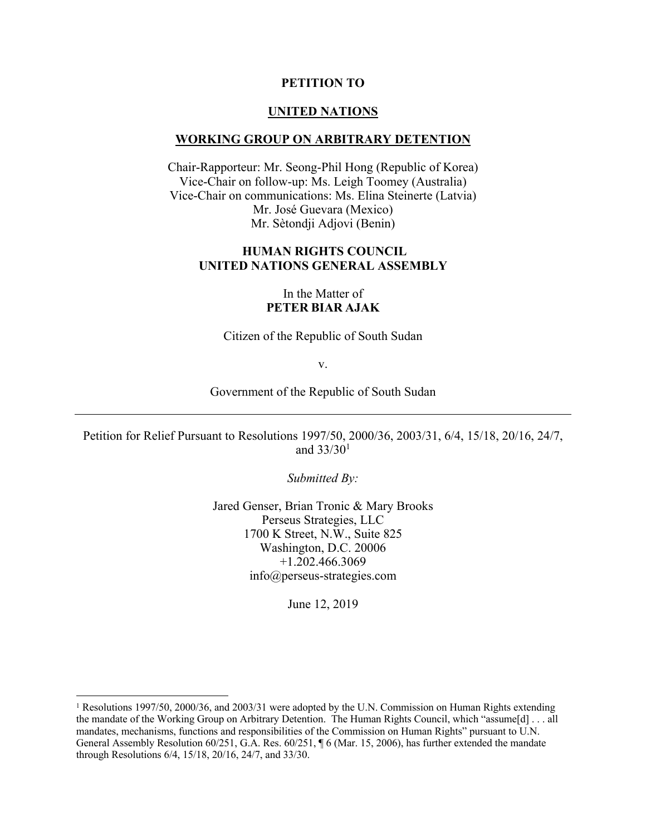#### **PETITION TO**

#### **UNITED NATIONS**

#### **WORKING GROUP ON ARBITRARY DETENTION**

Chair-Rapporteur: Mr. Seong-Phil Hong (Republic of Korea) Vice-Chair on follow-up: Ms. Leigh Toomey (Australia) Vice-Chair on communications: Ms. Elina Steinerte (Latvia) Mr. José Guevara (Mexico) Mr. Sètondji Adjovi (Benin)

### **HUMAN RIGHTS COUNCIL UNITED NATIONS GENERAL ASSEMBLY**

### In the Matter of **PETER BIAR AJAK**

Citizen of the Republic of South Sudan

v.

Government of the Republic of South Sudan

Petition for Relief Pursuant to Resolutions 1997/50, 2000/36, 2003/31, 6/4, 15/18, 20/16, 24/7, and 33/301

*Submitted By:*

Jared Genser, Brian Tronic & Mary Brooks Perseus Strategies, LLC 1700 K Street, N.W., Suite 825 Washington, D.C. 20006 +1.202.466.3069 info@perseus-strategies.com

June 12, 2019

 <sup>1</sup> Resolutions 1997/50, 2000/36, and 2003/31 were adopted by the U.N. Commission on Human Rights extending the mandate of the Working Group on Arbitrary Detention. The Human Rights Council, which "assume[d] . . . all mandates, mechanisms, functions and responsibilities of the Commission on Human Rights" pursuant to U.N. General Assembly Resolution 60/251, G.A. Res. 60/251, ¶ 6 (Mar. 15, 2006), has further extended the mandate through Resolutions 6/4, 15/18, 20/16, 24/7, and 33/30.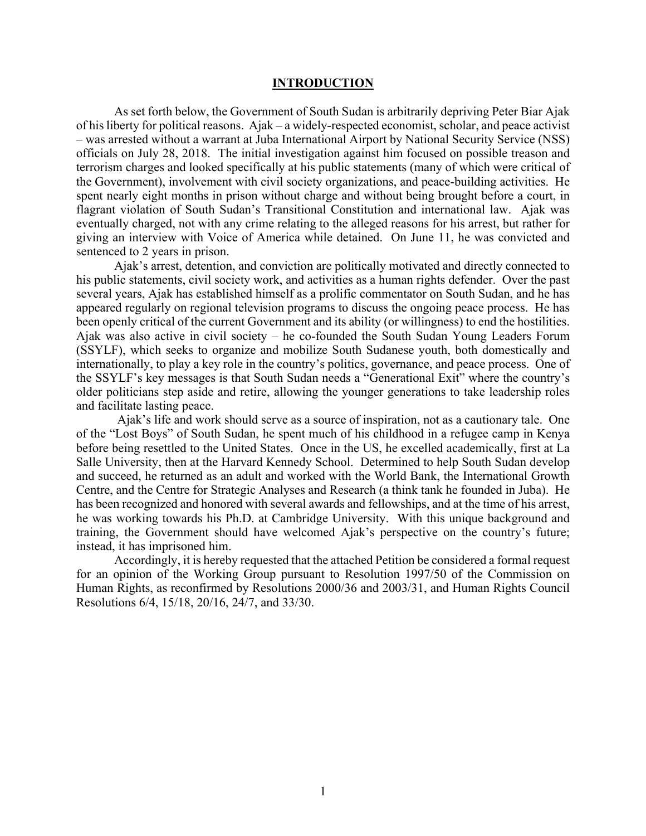#### **INTRODUCTION**

As set forth below, the Government of South Sudan is arbitrarily depriving Peter Biar Ajak of his liberty for political reasons. Ajak – a widely-respected economist, scholar, and peace activist – was arrested without a warrant at Juba International Airport by National Security Service (NSS) officials on July 28, 2018. The initial investigation against him focused on possible treason and terrorism charges and looked specifically at his public statements (many of which were critical of the Government), involvement with civil society organizations, and peace-building activities. He spent nearly eight months in prison without charge and without being brought before a court, in flagrant violation of South Sudan's Transitional Constitution and international law. Ajak was eventually charged, not with any crime relating to the alleged reasons for his arrest, but rather for giving an interview with Voice of America while detained. On June 11, he was convicted and sentenced to 2 years in prison.

Ajak's arrest, detention, and conviction are politically motivated and directly connected to his public statements, civil society work, and activities as a human rights defender. Over the past several years, Ajak has established himself as a prolific commentator on South Sudan, and he has appeared regularly on regional television programs to discuss the ongoing peace process. He has been openly critical of the current Government and its ability (or willingness) to end the hostilities. Ajak was also active in civil society – he co-founded the South Sudan Young Leaders Forum (SSYLF), which seeks to organize and mobilize South Sudanese youth, both domestically and internationally, to play a key role in the country's politics, governance, and peace process. One of the SSYLF's key messages is that South Sudan needs a "Generational Exit" where the country's older politicians step aside and retire, allowing the younger generations to take leadership roles and facilitate lasting peace.

Ajak's life and work should serve as a source of inspiration, not as a cautionary tale. One of the "Lost Boys" of South Sudan, he spent much of his childhood in a refugee camp in Kenya before being resettled to the United States. Once in the US, he excelled academically, first at La Salle University, then at the Harvard Kennedy School. Determined to help South Sudan develop and succeed, he returned as an adult and worked with the World Bank, the International Growth Centre, and the Centre for Strategic Analyses and Research (a think tank he founded in Juba). He has been recognized and honored with several awards and fellowships, and at the time of his arrest, he was working towards his Ph.D. at Cambridge University. With this unique background and training, the Government should have welcomed Ajak's perspective on the country's future; instead, it has imprisoned him.

Accordingly, it is hereby requested that the attached Petition be considered a formal request for an opinion of the Working Group pursuant to Resolution 1997/50 of the Commission on Human Rights, as reconfirmed by Resolutions 2000/36 and 2003/31, and Human Rights Council Resolutions 6/4, 15/18, 20/16, 24/7, and 33/30.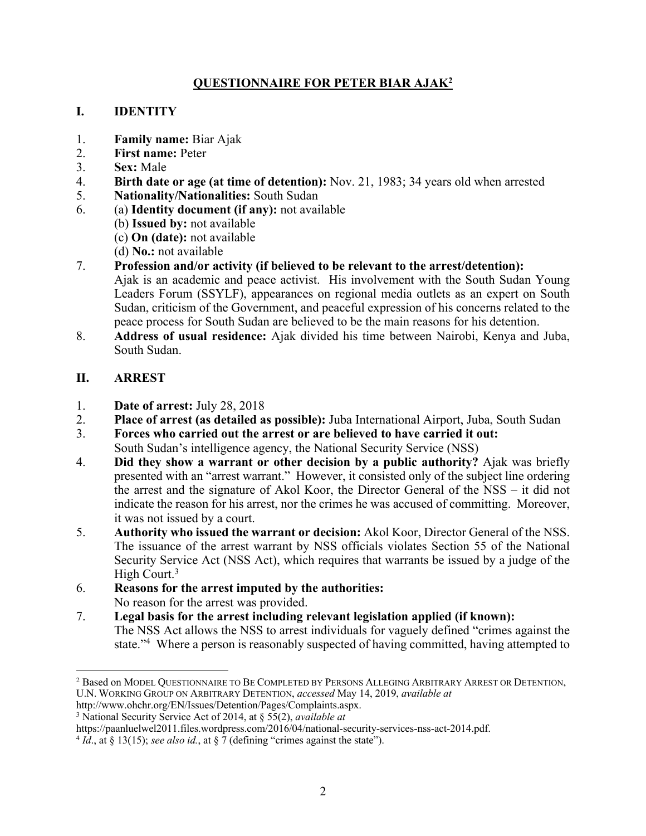# **QUESTIONNAIRE FOR PETER BIAR AJAK2**

# **I. IDENTITY**

- 1. **Family name:** Biar Ajak
- 2. **First name:** Peter
- 3. **Sex:** Male
- 4. **Birth date or age (at time of detention):** Nov. 21, 1983; 34 years old when arrested
- 5. **Nationality/Nationalities:** South Sudan
- 6. (a) **Identity document (if any):** not available
	- (b) **Issued by:** not available
	- (c) **On (date):** not available
	- (d) **No.:** not available
- 7. **Profession and/or activity (if believed to be relevant to the arrest/detention):**
	- Ajak is an academic and peace activist. His involvement with the South Sudan Young Leaders Forum (SSYLF), appearances on regional media outlets as an expert on South Sudan, criticism of the Government, and peaceful expression of his concerns related to the peace process for South Sudan are believed to be the main reasons for his detention.
- 8. **Address of usual residence:** Ajak divided his time between Nairobi, Kenya and Juba, South Sudan.

# **II. ARREST**

- 1. **Date of arrest:** July 28, 2018
- 2. **Place of arrest (as detailed as possible):** Juba International Airport, Juba, South Sudan
- 3. **Forces who carried out the arrest or are believed to have carried it out:** South Sudan's intelligence agency, the National Security Service (NSS)
- 4. **Did they show a warrant or other decision by a public authority?** Ajak was briefly presented with an "arrest warrant." However, it consisted only of the subject line ordering the arrest and the signature of Akol Koor, the Director General of the NSS – it did not indicate the reason for his arrest, nor the crimes he was accused of committing. Moreover, it was not issued by a court.
- 5. **Authority who issued the warrant or decision:** Akol Koor, Director General of the NSS. The issuance of the arrest warrant by NSS officials violates Section 55 of the National Security Service Act (NSS Act), which requires that warrants be issued by a judge of the High Court.<sup>3</sup>
- 6. **Reasons for the arrest imputed by the authorities:** No reason for the arrest was provided.
- 7. **Legal basis for the arrest including relevant legislation applied (if known):** The NSS Act allows the NSS to arrest individuals for vaguely defined "crimes against the state."<sup>4</sup> Where a person is reasonably suspected of having committed, having attempted to

 <sup>2</sup> Based on MODEL QUESTIONNAIRE TO BE COMPLETED BY PERSONS ALLEGING ARBITRARY ARREST OR DETENTION, U.N. WORKING GROUP ON ARBITRARY DETENTION, *accessed* May 14, 2019, *available at*

http://www.ohchr.org/EN/Issues/Detention/Pages/Complaints.aspx.

<sup>3</sup> National Security Service Act of 2014, at § 55(2), *available at* 

https://paanluelwel2011.files.wordpress.com/2016/04/national-security-services-nss-act-2014.pdf.

 $4 Id$ ., at § 13(15); *see also id.*, at § 7 (defining "crimes against the state").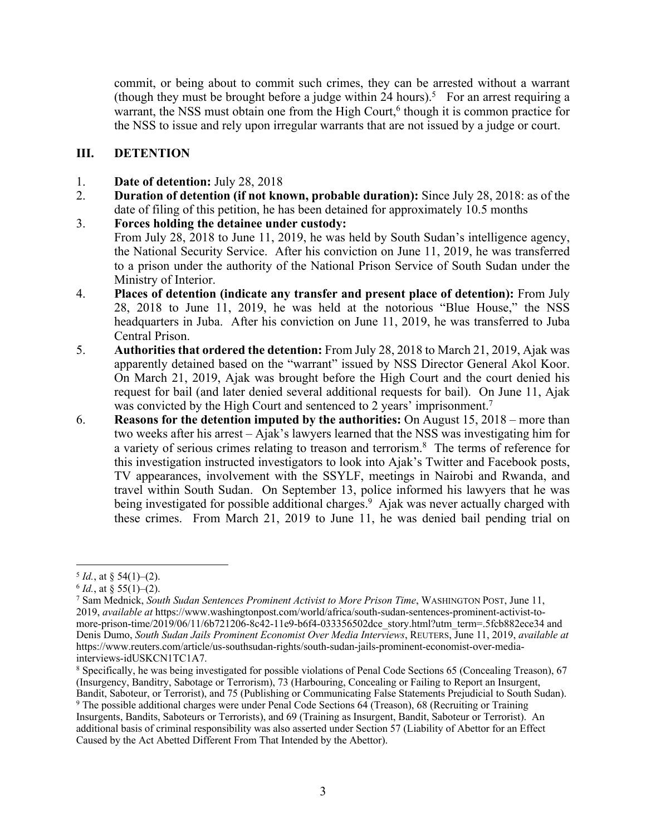commit, or being about to commit such crimes, they can be arrested without a warrant (though they must be brought before a judge within 24 hours).<sup>5</sup> For an arrest requiring a warrant, the NSS must obtain one from the High Court,<sup>6</sup> though it is common practice for the NSS to issue and rely upon irregular warrants that are not issued by a judge or court.

# **III. DETENTION**

- 1. **Date of detention:** July 28, 2018
- 2. **Duration of detention (if not known, probable duration):** Since July 28, 2018: as of the date of filing of this petition, he has been detained for approximately 10.5 months
- 3. **Forces holding the detainee under custody:** From July 28, 2018 to June 11, 2019, he was held by South Sudan's intelligence agency, the National Security Service. After his conviction on June 11, 2019, he was transferred to a prison under the authority of the National Prison Service of South Sudan under the Ministry of Interior.
- 4. **Places of detention (indicate any transfer and present place of detention):** From July 28, 2018 to June 11, 2019, he was held at the notorious "Blue House," the NSS headquarters in Juba. After his conviction on June 11, 2019, he was transferred to Juba Central Prison.
- 5. **Authorities that ordered the detention:** From July 28, 2018 to March 21, 2019, Ajak was apparently detained based on the "warrant" issued by NSS Director General Akol Koor. On March 21, 2019, Ajak was brought before the High Court and the court denied his request for bail (and later denied several additional requests for bail). On June 11, Ajak was convicted by the High Court and sentenced to 2 years' imprisonment.<sup>7</sup>
- 6. **Reasons for the detention imputed by the authorities:** On August 15, 2018 more than two weeks after his arrest – Ajak's lawyers learned that the NSS was investigating him for a variety of serious crimes relating to treason and terrorism.<sup>8</sup> The terms of reference for this investigation instructed investigators to look into Ajak's Twitter and Facebook posts, TV appearances, involvement with the SSYLF, meetings in Nairobi and Rwanda, and travel within South Sudan. On September 13, police informed his lawyers that he was being investigated for possible additional charges.<sup>9</sup> Ajak was never actually charged with these crimes. From March 21, 2019 to June 11, he was denied bail pending trial on

 $5 \text{ Id.}, \text{ at } \S 54(1)–(2).$ <br> $6 \text{ Id.}, \text{ at } \S 55(1)–(2).$ 

<sup>7</sup> Sam Mednick, *South Sudan Sentences Prominent Activist to More Prison Time*, WASHINGTON POST, June 11, 2019, *available at* https://www.washingtonpost.com/world/africa/south-sudan-sentences-prominent-activist-tomore-prison-time/2019/06/11/6b721206-8c42-11e9-b6f4-033356502dce\_story.html?utm\_term=.5fcb882ece34 and Denis Dumo, *South Sudan Jails Prominent Economist Over Media Interviews*, REUTERS, June 11, 2019, *available at* https://www.reuters.com/article/us-southsudan-rights/south-sudan-jails-prominent-economist-over-mediainterviews-idUSKCN1TC1A7.

<sup>8</sup> Specifically, he was being investigated for possible violations of Penal Code Sections 65 (Concealing Treason), 67 (Insurgency, Banditry, Sabotage or Terrorism), 73 (Harbouring, Concealing or Failing to Report an Insurgent, Bandit, Saboteur, or Terrorist), and 75 (Publishing or Communicating False Statements Prejudicial to South Sudan). <sup>9</sup> The possible additional charges were under Penal Code Sections 64 (Treason), 68 (Recruiting or Training

Insurgents, Bandits, Saboteurs or Terrorists), and 69 (Training as Insurgent, Bandit, Saboteur or Terrorist). An additional basis of criminal responsibility was also asserted under Section 57 (Liability of Abettor for an Effect Caused by the Act Abetted Different From That Intended by the Abettor).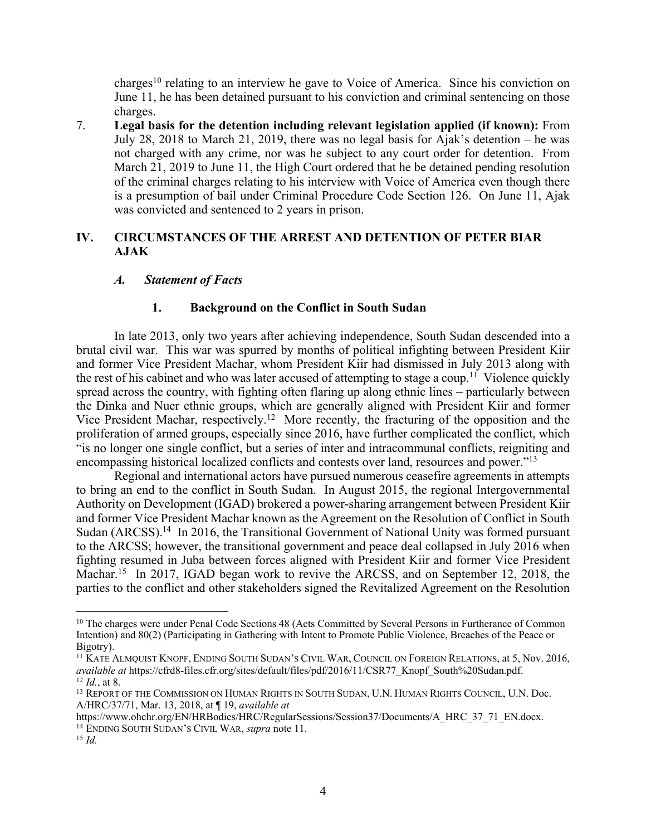charges<sup>10</sup> relating to an interview he gave to Voice of America. Since his conviction on June 11, he has been detained pursuant to his conviction and criminal sentencing on those charges.

7. **Legal basis for the detention including relevant legislation applied (if known):** From July 28, 2018 to March 21, 2019, there was no legal basis for Ajak's detention – he was not charged with any crime, nor was he subject to any court order for detention. From March 21, 2019 to June 11, the High Court ordered that he be detained pending resolution of the criminal charges relating to his interview with Voice of America even though there is a presumption of bail under Criminal Procedure Code Section 126. On June 11, Ajak was convicted and sentenced to 2 years in prison.

# **IV. CIRCUMSTANCES OF THE ARREST AND DETENTION OF PETER BIAR AJAK**

## *A. Statement of Facts*

### **1. Background on the Conflict in South Sudan**

In late 2013, only two years after achieving independence, South Sudan descended into a brutal civil war. This war was spurred by months of political infighting between President Kiir and former Vice President Machar, whom President Kiir had dismissed in July 2013 along with the rest of his cabinet and who was later accused of attempting to stage a coup.<sup>11</sup> Violence quickly spread across the country, with fighting often flaring up along ethnic lines – particularly between the Dinka and Nuer ethnic groups, which are generally aligned with President Kiir and former Vice President Machar, respectively.12 More recently, the fracturing of the opposition and the proliferation of armed groups, especially since 2016, have further complicated the conflict, which "is no longer one single conflict, but a series of inter and intracommunal conflicts, reigniting and encompassing historical localized conflicts and contests over land, resources and power."13

Regional and international actors have pursued numerous ceasefire agreements in attempts to bring an end to the conflict in South Sudan. In August 2015, the regional Intergovernmental Authority on Development (IGAD) brokered a power-sharing arrangement between President Kiir and former Vice President Machar known as the Agreement on the Resolution of Conflict in South Sudan (ARCSS).<sup>14</sup> In 2016, the Transitional Government of National Unity was formed pursuant to the ARCSS; however, the transitional government and peace deal collapsed in July 2016 when fighting resumed in Juba between forces aligned with President Kiir and former Vice President Machar.<sup>15</sup> In 2017, IGAD began work to revive the ARCSS, and on September 12, 2018, the parties to the conflict and other stakeholders signed the Revitalized Agreement on the Resolution

<sup>&</sup>lt;sup>10</sup> The charges were under Penal Code Sections 48 (Acts Committed by Several Persons in Furtherance of Common Intention) and 80(2) (Participating in Gathering with Intent to Promote Public Violence, Breaches of the Peace or Bigotry).

<sup>11</sup> KATE ALMQUIST KNOPF, ENDING SOUTH SUDAN'S CIVIL WAR, COUNCIL ON FOREIGN RELATIONS, at 5, Nov. 2016, *available at* https://cfrd8-files.cfr.org/sites/default/files/pdf/2016/11/CSR77\_Knopf\_South%20Sudan.pdf. <sup>12</sup> *Id.*, at 8.

<sup>&</sup>lt;sup>13</sup> REPORT OF THE COMMISSION ON HUMAN RIGHTS IN SOUTH SUDAN, U.N. HUMAN RIGHTS COUNCIL, U.N. Doc. A/HRC/37/71, Mar. 13, 2018, at ¶ 19, *available at*

https://www.ohchr.org/EN/HRBodies/HRC/RegularSessions/Session37/Documents/A\_HRC\_37\_71\_EN.docx. <sup>14</sup> ENDING SOUTH SUDAN'S CIVIL WAR, *supra* note 11.

<sup>15</sup> *Id.*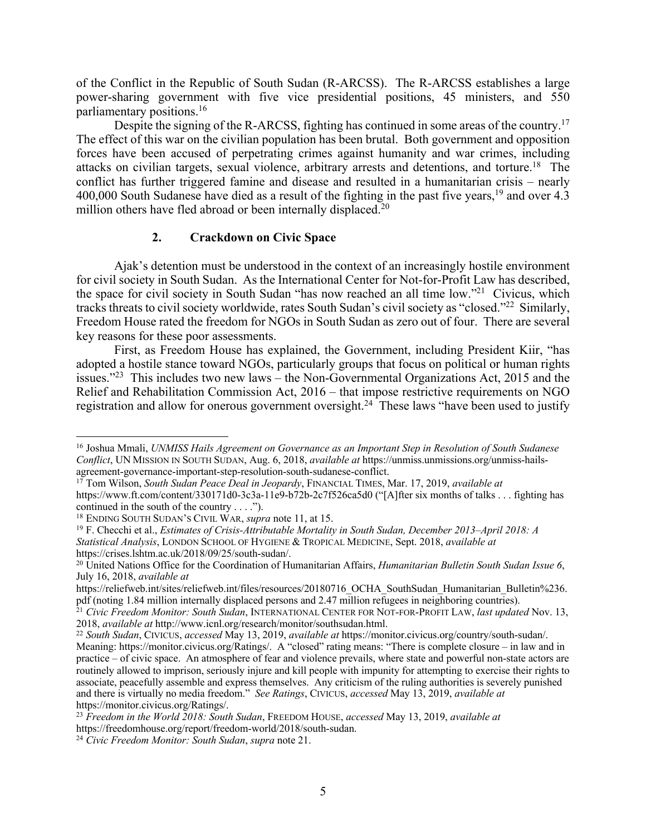of the Conflict in the Republic of South Sudan (R-ARCSS). The R-ARCSS establishes a large power-sharing government with five vice presidential positions, 45 ministers, and 550 parliamentary positions.16

Despite the signing of the R-ARCSS, fighting has continued in some areas of the country.<sup>17</sup> The effect of this war on the civilian population has been brutal. Both government and opposition forces have been accused of perpetrating crimes against humanity and war crimes, including attacks on civilian targets, sexual violence, arbitrary arrests and detentions, and torture.<sup>18</sup> The conflict has further triggered famine and disease and resulted in a humanitarian crisis – nearly 400,000 South Sudanese have died as a result of the fighting in the past five years,<sup>19</sup> and over 4.3 million others have fled abroad or been internally displaced.<sup>20</sup>

## **2. Crackdown on Civic Space**

Ajak's detention must be understood in the context of an increasingly hostile environment for civil society in South Sudan. As the International Center for Not-for-Profit Law has described, the space for civil society in South Sudan "has now reached an all time low."21 Civicus, which tracks threats to civil society worldwide, rates South Sudan's civil society as "closed."22 Similarly, Freedom House rated the freedom for NGOs in South Sudan as zero out of four. There are several key reasons for these poor assessments.

First, as Freedom House has explained, the Government, including President Kiir, "has adopted a hostile stance toward NGOs, particularly groups that focus on political or human rights issues."<sup>23</sup> This includes two new laws – the Non-Governmental Organizations Act, 2015 and the Relief and Rehabilitation Commission Act, 2016 – that impose restrictive requirements on NGO registration and allow for onerous government oversight.<sup>24</sup> These laws "have been used to justify

 <sup>16</sup> Joshua Mmali, *UNMISS Hails Agreement on Governance as an Important Step in Resolution of South Sudanese Conflict*, UN MISSION IN SOUTH SUDAN, Aug. 6, 2018, *available at* https://unmiss.unmissions.org/unmiss-hailsagreement-governance-important-step-resolution-south-sudanese-conflict.

<sup>17</sup> Tom Wilson, *South Sudan Peace Deal in Jeopardy*, FINANCIAL TIMES, Mar. 17, 2019, *available at* https://www.ft.com/content/330171d0-3c3a-11e9-b72b-2c7f526ca5d0 ("[A]fter six months of talks . . . fighting has continued in the south of the country . . . .").

<sup>18</sup> ENDING SOUTH SUDAN'S CIVIL WAR, *supra* note 11, at 15.

<sup>19</sup> F. Checchi et al., *Estimates of Crisis-Attributable Mortality in South Sudan, December 2013–April 2018: A Statistical Analysis*, LONDON SCHOOL OF HYGIENE & TROPICAL MEDICINE, Sept. 2018, *available at* https://crises.lshtm.ac.uk/2018/09/25/south-sudan/.

<sup>20</sup> United Nations Office for the Coordination of Humanitarian Affairs, *Humanitarian Bulletin South Sudan Issue 6*, July 16, 2018, *available at*

https://reliefweb.int/sites/reliefweb.int/files/resources/20180716\_OCHA\_SouthSudan\_Humanitarian\_Bulletin%236. pdf (noting 1.84 million internally displaced persons and 2.47 million refugees in neighboring countries).

<sup>21</sup> *Civic Freedom Monitor: South Sudan*, INTERNATIONAL CENTER FOR NOT-FOR-PROFIT LAW, *last updated* Nov. 13, 2018, *available at* http://www.icnl.org/research/monitor/southsudan.html. 22 *South Sudan*, CIVICUS, *accessed* May 13, 2019, *available at* https://monitor.civicus.org/country/south-sudan/.

Meaning: https://monitor.civicus.org/Ratings/. A "closed" rating means: "There is complete closure – in law and in practice – of civic space. An atmosphere of fear and violence prevails, where state and powerful non-state actors are routinely allowed to imprison, seriously injure and kill people with impunity for attempting to exercise their rights to associate, peacefully assemble and express themselves. Any criticism of the ruling authorities is severely punished and there is virtually no media freedom." *See Ratings*, CIVICUS, *accessed* May 13, 2019, *available at* https://monitor.civicus.org/Ratings/.

<sup>23</sup> *Freedom in the World 2018: South Sudan*, FREEDOM HOUSE, *accessed* May 13, 2019, *available at* https://freedomhouse.org/report/freedom-world/2018/south-sudan.

<sup>24</sup> *Civic Freedom Monitor: South Sudan*, *supra* note 21.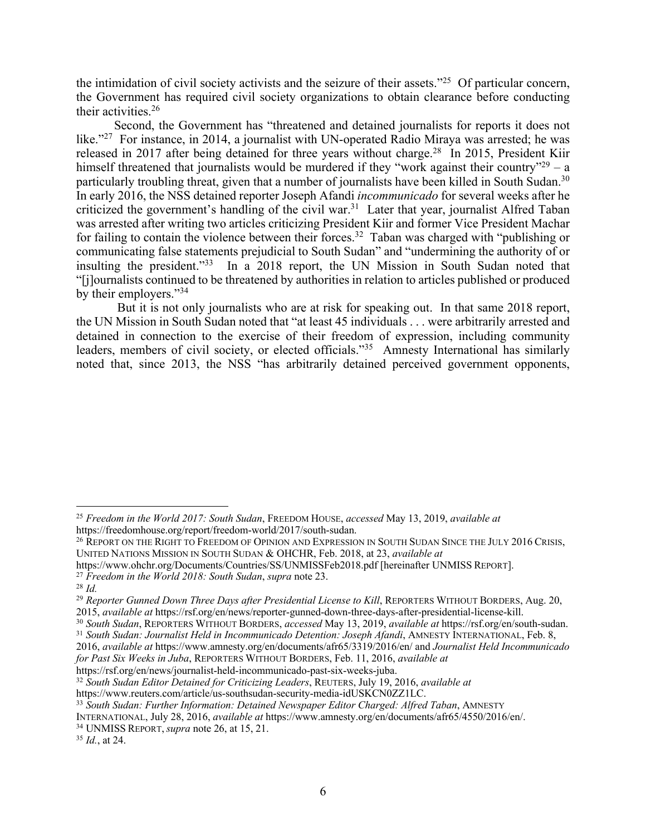the intimidation of civil society activists and the seizure of their assets."25 Of particular concern, the Government has required civil society organizations to obtain clearance before conducting their activities.26

Second, the Government has "threatened and detained journalists for reports it does not like."<sup>27</sup> For instance, in 2014, a journalist with UN-operated Radio Miraya was arrested; he was released in 2017 after being detained for three years without charge.<sup>28</sup> In 2015, President Kiir himself threatened that journalists would be murdered if they "work against their country"<sup>29</sup> – a particularly troubling threat, given that a number of journalists have been killed in South Sudan.<sup>30</sup> In early 2016, the NSS detained reporter Joseph Afandi *incommunicado* for several weeks after he criticized the government's handling of the civil war.<sup>31</sup> Later that year, journalist Alfred Taban was arrested after writing two articles criticizing President Kiir and former Vice President Machar for failing to contain the violence between their forces.<sup>32</sup> Taban was charged with "publishing or communicating false statements prejudicial to South Sudan" and "undermining the authority of or insulting the president."33 In a 2018 report, the UN Mission in South Sudan noted that "[j]ournalists continued to be threatened by authorities in relation to articles published or produced by their employers."<sup>34</sup>

But it is not only journalists who are at risk for speaking out. In that same 2018 report, the UN Mission in South Sudan noted that "at least 45 individuals . . . were arbitrarily arrested and detained in connection to the exercise of their freedom of expression, including community leaders, members of civil society, or elected officials."<sup>35</sup> Amnesty International has similarly noted that, since 2013, the NSS "has arbitrarily detained perceived government opponents,

<sup>27</sup> *Freedom in the World 2018: South Sudan*, *supra* note 23.

 <sup>25</sup> *Freedom in the World 2017: South Sudan*, FREEDOM HOUSE, *accessed* May 13, 2019, *available at* https://freedomhouse.org/report/freedom-world/2017/south-sudan.

<sup>&</sup>lt;sup>26</sup> REPORT ON THE RIGHT TO FREEDOM OF OPINION AND EXPRESSION IN SOUTH SUDAN SINCE THE JULY 2016 CRISIS, UNITED NATIONS MISSION IN SOUTH SUDAN & OHCHR, Feb. 2018, at 23, *available at* 

https://www.ohchr.org/Documents/Countries/SS/UNMISSFeb2018.pdf [hereinafter UNMISS REPORT].

<sup>28</sup> *Id.*

<sup>&</sup>lt;sup>29</sup> Reporter Gunned Down Three Days after Presidential License to Kill, REPORTERS WITHOUT BORDERS, Aug. 20, 2015, *available at* https://rsf.org/en/news/reporter-gunned-down-three-days-after-presidential-license-kill.

<sup>30</sup> *South Sudan*, REPORTERS WITHOUT BORDERS, *accessed* May 13, 2019, *available at* https://rsf.org/en/south-sudan. <sup>31</sup> *South Sudan: Journalist Held in Incommunicado Detention: Joseph Afandi*, AMNESTY INTERNATIONAL, Feb. 8,

<sup>2016,</sup> *available at* https://www.amnesty.org/en/documents/afr65/3319/2016/en/ and *Journalist Held Incommunicado* 

*for Past Six Weeks in Juba*, REPORTERS WITHOUT BORDERS, Feb. 11, 2016, *available at*

https://rsf.org/en/news/journalist-held-incommunicado-past-six-weeks-juba.

<sup>32</sup> *South Sudan Editor Detained for Criticizing Leaders*, REUTERS, July 19, 2016, *available at*

https://www.reuters.com/article/us-southsudan-security-media-idUSKCN0ZZ1LC.

<sup>33</sup> *South Sudan: Further Information: Detained Newspaper Editor Charged: Alfred Taban*, AMNESTY

INTERNATIONAL, July 28, 2016, *available at* https://www.amnesty.org/en/documents/afr65/4550/2016/en/.

<sup>34</sup> UNMISS REPORT, *supra* note 26, at 15, 21.

<sup>35</sup> *Id.*, at 24.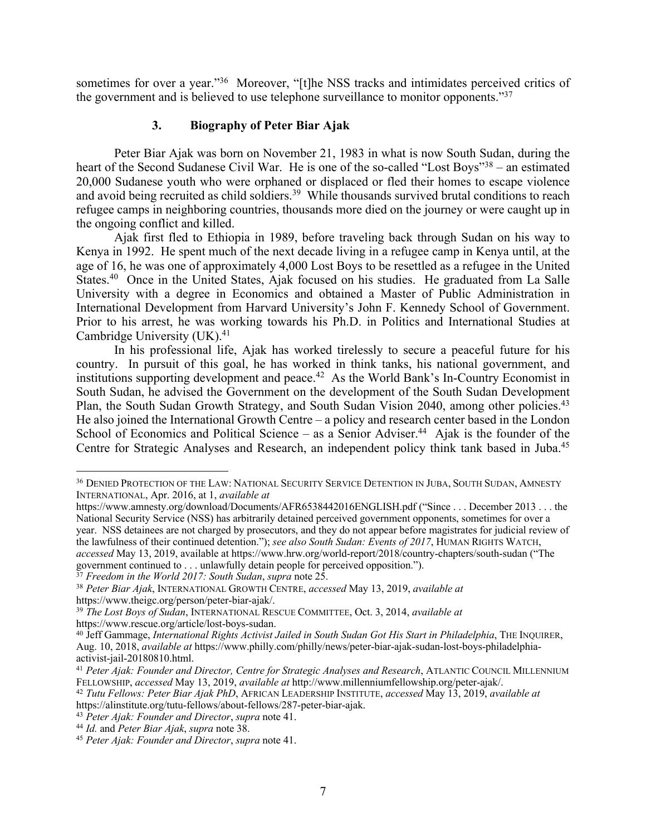sometimes for over a year."<sup>36</sup> Moreover, "[t]he NSS tracks and intimidates perceived critics of the government and is believed to use telephone surveillance to monitor opponents."37

# **3. Biography of Peter Biar Ajak**

Peter Biar Ajak was born on November 21, 1983 in what is now South Sudan, during the heart of the Second Sudanese Civil War. He is one of the so-called "Lost Boys"<sup>38</sup> – an estimated 20,000 Sudanese youth who were orphaned or displaced or fled their homes to escape violence and avoid being recruited as child soldiers.<sup>39</sup> While thousands survived brutal conditions to reach refugee camps in neighboring countries, thousands more died on the journey or were caught up in the ongoing conflict and killed.

Ajak first fled to Ethiopia in 1989, before traveling back through Sudan on his way to Kenya in 1992. He spent much of the next decade living in a refugee camp in Kenya until, at the age of 16, he was one of approximately 4,000 Lost Boys to be resettled as a refugee in the United States.<sup>40</sup> Once in the United States, Ajak focused on his studies. He graduated from La Salle University with a degree in Economics and obtained a Master of Public Administration in International Development from Harvard University's John F. Kennedy School of Government. Prior to his arrest, he was working towards his Ph.D. in Politics and International Studies at Cambridge University (UK). 41

In his professional life, Ajak has worked tirelessly to secure a peaceful future for his country. In pursuit of this goal, he has worked in think tanks, his national government, and institutions supporting development and peace.<sup>42</sup> As the World Bank's In-Country Economist in South Sudan, he advised the Government on the development of the South Sudan Development Plan, the South Sudan Growth Strategy, and South Sudan Vision 2040, among other policies.<sup>43</sup> He also joined the International Growth Centre – a policy and research center based in the London School of Economics and Political Science – as a Senior Adviser.<sup>44</sup> Ajak is the founder of the Centre for Strategic Analyses and Research, an independent policy think tank based in Juba.45

<sup>37</sup> *Freedom in the World 2017: South Sudan*, *supra* note 25.

 <sup>36</sup> DENIED PROTECTION OF THE LAW: NATIONAL SECURITY SERVICE DETENTION IN JUBA, SOUTH SUDAN, AMNESTY INTERNATIONAL, Apr. 2016, at 1, *available at*

https://www.amnesty.org/download/Documents/AFR6538442016ENGLISH.pdf ("Since . . . December 2013 . . . the National Security Service (NSS) has arbitrarily detained perceived government opponents, sometimes for over a year. NSS detainees are not charged by prosecutors, and they do not appear before magistrates for judicial review of the lawfulness of their continued detention."); *see also South Sudan: Events of 2017*, HUMAN RIGHTS WATCH, *accessed* May 13, 2019, available at https://www.hrw.org/world-report/2018/country-chapters/south-sudan ("The government continued to . . . unlawfully detain people for perceived opposition.").

<sup>38</sup> *Peter Biar Ajak*, INTERNATIONAL GROWTH CENTRE, *accessed* May 13, 2019, *available at* https://www.theigc.org/person/peter-biar-ajak/.

<sup>39</sup> *The Lost Boys of Sudan*, INTERNATIONAL RESCUE COMMITTEE, Oct. 3, 2014, *available at* https://www.rescue.org/article/lost-boys-sudan.

<sup>40</sup> Jeff Gammage, *International Rights Activist Jailed in South Sudan Got His Start in Philadelphia*, THE INQUIRER, Aug. 10, 2018, *available at* https://www.philly.com/philly/news/peter-biar-ajak-sudan-lost-boys-philadelphiaactivist-jail-20180810.html.

<sup>41</sup> *Peter Ajak: Founder and Director, Centre for Strategic Analyses and Research*, ATLANTIC COUNCIL MILLENNIUM FELLOWSHIP, *accessed* May 13, 2019, *available at* http://www.millenniumfellowship.org/peter-ajak/.

<sup>42</sup> *Tutu Fellows: Peter Biar Ajak PhD*, AFRICAN LEADERSHIP INSTITUTE, *accessed* May 13, 2019, *available at* https://alinstitute.org/tutu-fellows/about-fellows/287-peter-biar-ajak.

<sup>43</sup> *Peter Ajak: Founder and Director*, *supra* note 41.

<sup>44</sup> *Id.* and *Peter Biar Ajak*, *supra* note 38.

<sup>45</sup> *Peter Ajak: Founder and Director*, *supra* note 41.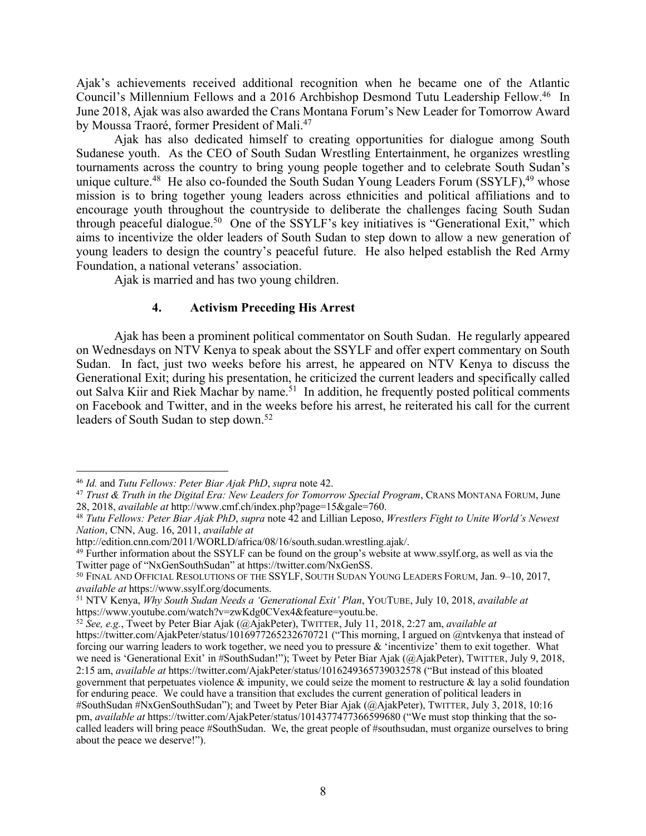Ajak's achievements received additional recognition when he became one of the Atlantic Council's Millennium Fellows and a 2016 Archbishop Desmond Tutu Leadership Fellow.46 In June 2018, Ajak was also awarded the Crans Montana Forum's New Leader for Tomorrow Award by Moussa Traoré, former President of Mali.<sup>47</sup>

Ajak has also dedicated himself to creating opportunities for dialogue among South Sudanese youth. As the CEO of South Sudan Wrestling Entertainment, he organizes wrestling tournaments across the country to bring young people together and to celebrate South Sudan's unique culture.<sup>48</sup> He also co-founded the South Sudan Young Leaders Forum (SSYLF),<sup>49</sup> whose mission is to bring together young leaders across ethnicities and political affiliations and to encourage youth throughout the countryside to deliberate the challenges facing South Sudan through peaceful dialogue.50 One of the SSYLF's key initiatives is "Generational Exit," which aims to incentivize the older leaders of South Sudan to step down to allow a new generation of young leaders to design the country's peaceful future. He also helped establish the Red Army Foundation, a national veterans' association.

Ajak is married and has two young children.

### **4. Activism Preceding His Arrest**

Ajak has been a prominent political commentator on South Sudan. He regularly appeared on Wednesdays on NTV Kenya to speak about the SSYLF and offer expert commentary on South Sudan. In fact, just two weeks before his arrest, he appeared on NTV Kenya to discuss the Generational Exit; during his presentation, he criticized the current leaders and specifically called out Salva Kiir and Riek Machar by name.<sup>51</sup> In addition, he frequently posted political comments on Facebook and Twitter, and in the weeks before his arrest, he reiterated his call for the current leaders of South Sudan to step down. 52

 <sup>46</sup> *Id.* and *Tutu Fellows: Peter Biar Ajak PhD*, *supra* note 42.

<sup>47</sup> *Trust & Truth in the Digital Era: New Leaders for Tomorrow Special Program*, CRANS MONTANA FORUM, June 28, 2018, *available at* http://www.cmf.ch/index.php?page=15&gale=760.

<sup>48</sup> *Tutu Fellows: Peter Biar Ajak PhD*, *supra* note 42 and Lillian Leposo, *Wrestlers Fight to Unite World's Newest Nation*, CNN, Aug. 16, 2011, *available at*

http://edition.cnn.com/2011/WORLD/africa/08/16/south.sudan.wrestling.ajak/.

<sup>&</sup>lt;sup>49</sup> Further information about the SSYLF can be found on the group's website at www.ssylf.org, as well as via the Twitter page of "NxGenSouthSudan" at https://twitter.com/NxGenSS.

<sup>&</sup>lt;sup>50</sup> FINAL AND OFFICIAL RESOLUTIONS OF THE SSYLF, SOUTH SUDAN YOUNG LEADERS FORUM, Jan. 9-10, 2017, *available at* https://www.ssylf.org/documents.

<sup>51</sup> NTV Kenya, *Why South Sudan Needs a 'Generational Exit' Plan*, YOUTUBE, July 10, 2018, *available at* https://www.youtube.com/watch?v=zwKdg0CVex4&feature=youtu.be.

<sup>52</sup> *See, e.g.*, Tweet by Peter Biar Ajak (@AjakPeter), TWITTER, July 11, 2018, 2:27 am, *available at*

https://twitter.com/AjakPeter/status/1016977265232670721 ("This morning, I argued on @ntvkenya that instead of forcing our warring leaders to work together, we need you to pressure & 'incentivize' them to exit together. What we need is 'Generational Exit' in #SouthSudan!"); Tweet by Peter Biar Ajak (@AjakPeter), TWITTER, July 9, 2018, 2:15 am, *available at* https://twitter.com/AjakPeter/status/1016249365739032578 ("But instead of this bloated government that perpetuates violence  $\&$  impunity, we could seize the moment to restructure  $\&$  lay a solid foundation for enduring peace. We could have a transition that excludes the current generation of political leaders in #SouthSudan #NxGenSouthSudan"); and Tweet by Peter Biar Ajak (@AjakPeter), TWITTER, July 3, 2018, 10:16 pm, *available at* https://twitter.com/AjakPeter/status/1014377477366599680 ("We must stop thinking that the socalled leaders will bring peace #SouthSudan. We, the great people of #southsudan, must organize ourselves to bring about the peace we deserve!").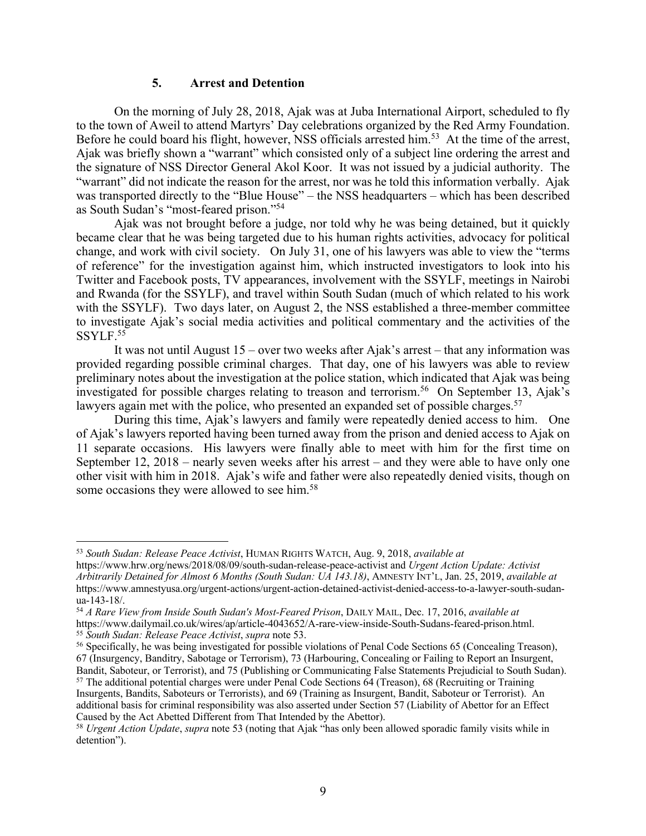#### **5. Arrest and Detention**

On the morning of July 28, 2018, Ajak was at Juba International Airport, scheduled to fly to the town of Aweil to attend Martyrs' Day celebrations organized by the Red Army Foundation. Before he could board his flight, however, NSS officials arrested him.<sup>53</sup> At the time of the arrest, Ajak was briefly shown a "warrant" which consisted only of a subject line ordering the arrest and the signature of NSS Director General Akol Koor. It was not issued by a judicial authority. The "warrant" did not indicate the reason for the arrest, nor was he told this information verbally. Ajak was transported directly to the "Blue House" – the NSS headquarters – which has been described as South Sudan's "most-feared prison."54

Ajak was not brought before a judge, nor told why he was being detained, but it quickly became clear that he was being targeted due to his human rights activities, advocacy for political change, and work with civil society. On July 31, one of his lawyers was able to view the "terms of reference" for the investigation against him, which instructed investigators to look into his Twitter and Facebook posts, TV appearances, involvement with the SSYLF, meetings in Nairobi and Rwanda (for the SSYLF), and travel within South Sudan (much of which related to his work with the SSYLF). Two days later, on August 2, the NSS established a three-member committee to investigate Ajak's social media activities and political commentary and the activities of the SSYLF.<sup>55</sup>

It was not until August 15 – over two weeks after Ajak's arrest – that any information was provided regarding possible criminal charges. That day, one of his lawyers was able to review preliminary notes about the investigation at the police station, which indicated that Ajak was being investigated for possible charges relating to treason and terrorism.<sup>56</sup> On September 13, Ajak's lawyers again met with the police, who presented an expanded set of possible charges.<sup>57</sup>

During this time, Ajak's lawyers and family were repeatedly denied access to him. One of Ajak's lawyers reported having been turned away from the prison and denied access to Ajak on 11 separate occasions. His lawyers were finally able to meet with him for the first time on September 12, 2018 – nearly seven weeks after his arrest – and they were able to have only one other visit with him in 2018. Ajak's wife and father were also repeatedly denied visits, though on some occasions they were allowed to see him.<sup>58</sup>

 <sup>53</sup> *South Sudan: Release Peace Activist*, HUMAN RIGHTS WATCH, Aug. 9, 2018, *available at*

https://www.hrw.org/news/2018/08/09/south-sudan-release-peace-activist and *Urgent Action Update: Activist Arbitrarily Detained for Almost 6 Months (South Sudan: UA 143.18)*, AMNESTY INT'L, Jan. 25, 2019, *available at* https://www.amnestyusa.org/urgent-actions/urgent-action-detained-activist-denied-access-to-a-lawyer-south-sudanua-143-18/.

<sup>54</sup> *A Rare View from Inside South Sudan's Most-Feared Prison*, DAILY MAIL, Dec. 17, 2016, *available at*  https://www.dailymail.co.uk/wires/ap/article-4043652/A-rare-view-inside-South-Sudans-feared-prison.html. <sup>55</sup> *South Sudan: Release Peace Activist*, *supra* note 53.

<sup>56</sup> Specifically, he was being investigated for possible violations of Penal Code Sections 65 (Concealing Treason), 67 (Insurgency, Banditry, Sabotage or Terrorism), 73 (Harbouring, Concealing or Failing to Report an Insurgent, Bandit, Saboteur, or Terrorist), and 75 (Publishing or Communicating False Statements Prejudicial to South Sudan).

<sup>57</sup> The additional potential charges were under Penal Code Sections 64 (Treason), 68 (Recruiting or Training Insurgents, Bandits, Saboteurs or Terrorists), and 69 (Training as Insurgent, Bandit, Saboteur or Terrorist). An additional basis for criminal responsibility was also asserted under Section 57 (Liability of Abettor for an Effect Caused by the Act Abetted Different from That Intended by the Abettor).

<sup>58</sup> *Urgent Action Update*, *supra* note 53 (noting that Ajak "has only been allowed sporadic family visits while in detention").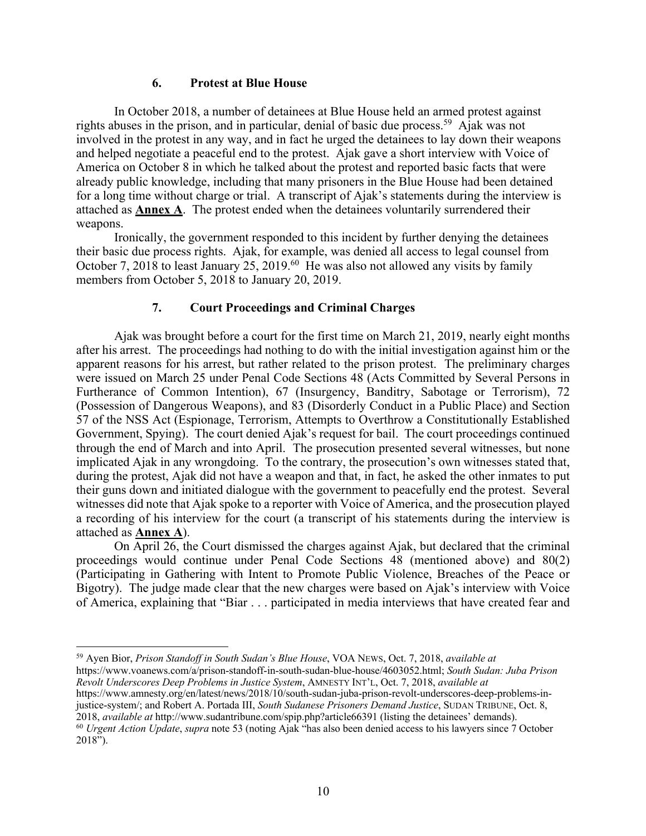#### **6. Protest at Blue House**

In October 2018, a number of detainees at Blue House held an armed protest against rights abuses in the prison, and in particular, denial of basic due process. 59 Ajak was not involved in the protest in any way, and in fact he urged the detainees to lay down their weapons and helped negotiate a peaceful end to the protest. Ajak gave a short interview with Voice of America on October 8 in which he talked about the protest and reported basic facts that were already public knowledge, including that many prisoners in the Blue House had been detained for a long time without charge or trial. A transcript of Ajak's statements during the interview is attached as **Annex A**. The protest ended when the detainees voluntarily surrendered their weapons.

Ironically, the government responded to this incident by further denying the detainees their basic due process rights. Ajak, for example, was denied all access to legal counsel from October 7, 2018 to least January 25, 2019.<sup>60</sup> He was also not allowed any visits by family members from October 5, 2018 to January 20, 2019.

### **7. Court Proceedings and Criminal Charges**

Ajak was brought before a court for the first time on March 21, 2019, nearly eight months after his arrest. The proceedings had nothing to do with the initial investigation against him or the apparent reasons for his arrest, but rather related to the prison protest. The preliminary charges were issued on March 25 under Penal Code Sections 48 (Acts Committed by Several Persons in Furtherance of Common Intention), 67 (Insurgency, Banditry, Sabotage or Terrorism), 72 (Possession of Dangerous Weapons), and 83 (Disorderly Conduct in a Public Place) and Section 57 of the NSS Act (Espionage, Terrorism, Attempts to Overthrow a Constitutionally Established Government, Spying). The court denied Ajak's request for bail. The court proceedings continued through the end of March and into April. The prosecution presented several witnesses, but none implicated Ajak in any wrongdoing. To the contrary, the prosecution's own witnesses stated that, during the protest, Ajak did not have a weapon and that, in fact, he asked the other inmates to put their guns down and initiated dialogue with the government to peacefully end the protest. Several witnesses did note that Ajak spoke to a reporter with Voice of America, and the prosecution played a recording of his interview for the court (a transcript of his statements during the interview is attached as **Annex A**).

On April 26, the Court dismissed the charges against Ajak, but declared that the criminal proceedings would continue under Penal Code Sections 48 (mentioned above) and 80(2) (Participating in Gathering with Intent to Promote Public Violence, Breaches of the Peace or Bigotry). The judge made clear that the new charges were based on Ajak's interview with Voice of America, explaining that "Biar . . . participated in media interviews that have created fear and

59 Ayen Bior, *Prison Standoff in South Sudan's Blue House*, VOA NEWS, Oct. 7, 2018, *available at*

https://www.voanews.com/a/prison-standoff-in-south-sudan-blue-house/4603052.html; *South Sudan: Juba Prison Revolt Underscores Deep Problems in Justice System*, AMNESTY INT'L, Oct. 7, 2018, *available at*

https://www.amnesty.org/en/latest/news/2018/10/south-sudan-juba-prison-revolt-underscores-deep-problems-injustice-system/; and Robert A. Portada III, *South Sudanese Prisoners Demand Justice*, SUDAN TRIBUNE, Oct. 8, 2018, *available at* http://www.sudantribune.com/spip.php?article66391 (listing the detainees' demands). <sup>60</sup> *Urgent Action Update*, *supra* note 53 (noting Ajak "has also been denied access to his lawyers since 7 October

<sup>2018&</sup>quot;).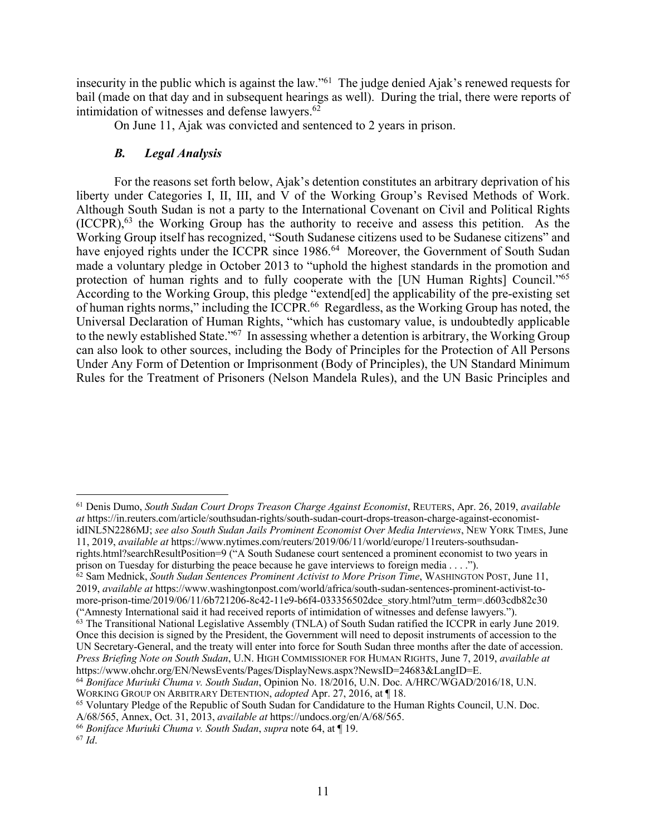insecurity in the public which is against the law."61 The judge denied Ajak's renewed requests for bail (made on that day and in subsequent hearings as well). During the trial, there were reports of intimidation of witnesses and defense lawyers. 62

On June 11, Ajak was convicted and sentenced to 2 years in prison.

# *B. Legal Analysis*

For the reasons set forth below, Ajak's detention constitutes an arbitrary deprivation of his liberty under Categories I, II, III, and V of the Working Group's Revised Methods of Work. Although South Sudan is not a party to the International Covenant on Civil and Political Rights (ICCPR), <sup>63</sup> the Working Group has the authority to receive and assess this petition. As the Working Group itself has recognized, "South Sudanese citizens used to be Sudanese citizens" and have enjoyed rights under the ICCPR since 1986.<sup>64</sup> Moreover, the Government of South Sudan made a voluntary pledge in October 2013 to "uphold the highest standards in the promotion and protection of human rights and to fully cooperate with the [UN Human Rights] Council."65 According to the Working Group, this pledge "extend[ed] the applicability of the pre-existing set of human rights norms," including the ICCPR.<sup>66</sup> Regardless, as the Working Group has noted, the Universal Declaration of Human Rights, "which has customary value, is undoubtedly applicable to the newly established State."67 In assessing whether a detention is arbitrary, the Working Group can also look to other sources, including the Body of Principles for the Protection of All Persons Under Any Form of Detention or Imprisonment (Body of Principles), the UN Standard Minimum Rules for the Treatment of Prisoners (Nelson Mandela Rules), and the UN Basic Principles and

 <sup>61</sup> Denis Dumo, *South Sudan Court Drops Treason Charge Against Economist*, REUTERS, Apr. 26, 2019, *available at* https://in.reuters.com/article/southsudan-rights/south-sudan-court-drops-treason-charge-against-economistidINL5N2286MJ; *see also South Sudan Jails Prominent Economist Over Media Interviews*, NEW YORK TIMES, June 11, 2019, *available at* https://www.nytimes.com/reuters/2019/06/11/world/europe/11reuters-southsudan-

rights.html?searchResultPosition=9 ("A South Sudanese court sentenced a prominent economist to two years in prison on Tuesday for disturbing the peace because he gave interviews to foreign media . . . .").

<sup>62</sup> Sam Mednick, *South Sudan Sentences Prominent Activist to More Prison Time*, WASHINGTON POST, June 11, 2019, *available at* https://www.washingtonpost.com/world/africa/south-sudan-sentences-prominent-activist-tomore-prison-time/2019/06/11/6b721206-8c42-11e9-b6f4-033356502dce\_story.html?utm\_term=.d603cdb82c30 ("Amnesty International said it had received reports of intimidation of witnesses and defense lawyers.").

<sup>&</sup>lt;sup>63</sup> The Transitional National Legislative Assembly (TNLA) of South Sudan ratified the ICCPR in early June 2019. Once this decision is signed by the President, the Government will need to deposit instruments of accession to the UN Secretary-General, and the treaty will enter into force for South Sudan three months after the date of accession. *Press Briefing Note on South Sudan*, U.N. HIGH COMMISSIONER FOR HUMAN RIGHTS, June 7, 2019, *available at* https://www.ohchr.org/EN/NewsEvents/Pages/DisplayNews.aspx?NewsID=24683&LangID=E.

<sup>64</sup> *Boniface Muriuki Chuma v. South Sudan*, Opinion No. 18/2016, U.N. Doc. A/HRC/WGAD/2016/18, U.N. WORKING GROUP ON ARBITRARY DETENTION, *adopted* Apr. 27, 2016, at ¶ 18.<br><sup>65</sup> Voluntary Pledge of the Republic of South Sudan for Candidature to the Human Rights Council, U.N. Doc.

A/68/565, Annex, Oct. 31, 2013, *available at* https://undocs.org/en/A/68/565.

<sup>66</sup> *Boniface Muriuki Chuma v. South Sudan*, *supra* note 64, at ¶ 19.

<sup>67</sup> *Id*.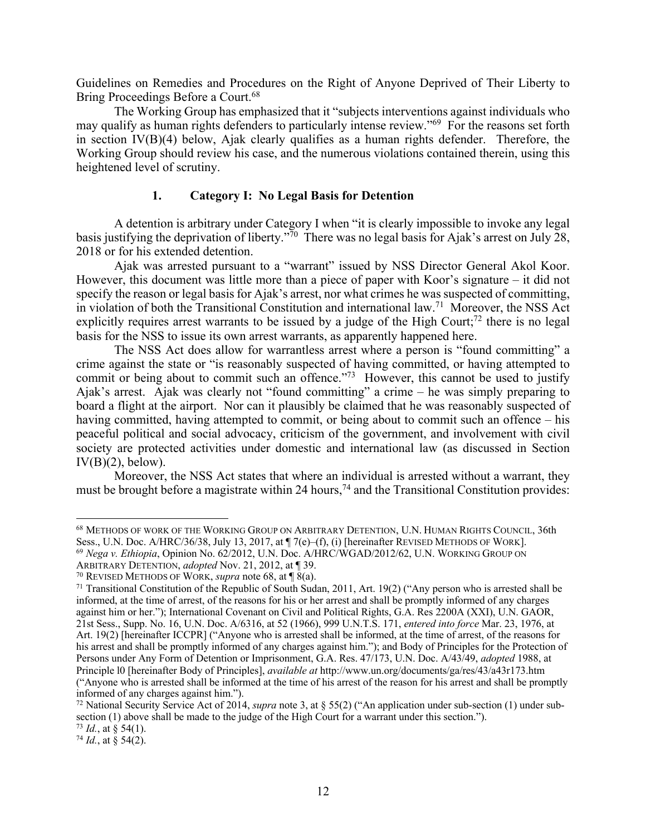Guidelines on Remedies and Procedures on the Right of Anyone Deprived of Their Liberty to Bring Proceedings Before a Court.<sup>68</sup>

The Working Group has emphasized that it "subjects interventions against individuals who may qualify as human rights defenders to particularly intense review."69 For the reasons set forth in section IV(B)(4) below, Ajak clearly qualifies as a human rights defender. Therefore, the Working Group should review his case, and the numerous violations contained therein, using this heightened level of scrutiny.

### **1. Category I: No Legal Basis for Detention**

A detention is arbitrary under Category I when "it is clearly impossible to invoke any legal basis justifying the deprivation of liberty."<sup>70</sup> There was no legal basis for Ajak's arrest on July 28, 2018 or for his extended detention.

Ajak was arrested pursuant to a "warrant" issued by NSS Director General Akol Koor. However, this document was little more than a piece of paper with Koor's signature – it did not specify the reason or legal basis for Ajak's arrest, nor what crimes he was suspected of committing, in violation of both the Transitional Constitution and international law.71 Moreover, the NSS Act explicitly requires arrest warrants to be issued by a judge of the High Court;<sup>72</sup> there is no legal basis for the NSS to issue its own arrest warrants, as apparently happened here.

The NSS Act does allow for warrantless arrest where a person is "found committing" a crime against the state or "is reasonably suspected of having committed, or having attempted to commit or being about to commit such an offence."<sup>73</sup> However, this cannot be used to justify Ajak's arrest. Ajak was clearly not "found committing" a crime – he was simply preparing to board a flight at the airport. Nor can it plausibly be claimed that he was reasonably suspected of having committed, having attempted to commit, or being about to commit such an offence – his peaceful political and social advocacy, criticism of the government, and involvement with civil society are protected activities under domestic and international law (as discussed in Section  $IV(B)(2)$ , below).

Moreover, the NSS Act states that where an individual is arrested without a warrant, they must be brought before a magistrate within 24 hours,<sup>74</sup> and the Transitional Constitution provides:

 <sup>68</sup> METHODS OF WORK OF THE WORKING GROUP ON ARBITRARY DETENTION, U.N. HUMAN RIGHTS COUNCIL, 36th Sess., U.N. Doc. A/HRC/36/38, July 13, 2017, at  $\P$  7(e)–(f), (i) [hereinafter REVISED METHODS OF WORK]. <sup>69</sup> *Nega v. Ethiopia*, Opinion No. 62/2012, U.N. Doc. A/HRC/WGAD/2012/62, U.N. WORKING GROUP ON ARBITRARY DETENTION, *adopted* Nov. 21, 2012, at ¶ 39.

<sup>70</sup> REVISED METHODS OF WORK, *supra* note 68, at ¶ 8(a).

<sup>71</sup> Transitional Constitution of the Republic of South Sudan, 2011, Art. 19(2) ("Any person who is arrested shall be informed, at the time of arrest, of the reasons for his or her arrest and shall be promptly informed of any charges against him or her."); International Covenant on Civil and Political Rights, G.A. Res 2200A (XXI), U.N. GAOR, 21st Sess., Supp. No. 16, U.N. Doc. A/6316, at 52 (1966), 999 U.N.T.S. 171, *entered into force* Mar. 23, 1976, at Art. 19(2) [hereinafter ICCPR] ("Anyone who is arrested shall be informed, at the time of arrest, of the reasons for his arrest and shall be promptly informed of any charges against him."); and Body of Principles for the Protection of Persons under Any Form of Detention or Imprisonment, G.A. Res. 47/173, U.N. Doc. A/43/49, *adopted* 1988, at Principle l0 [hereinafter Body of Principles], *available at* http://www.un.org/documents/ga/res/43/a43r173.htm ("Anyone who is arrested shall be informed at the time of his arrest of the reason for his arrest and shall be promptly informed of any charges against him.").

<sup>72</sup> National Security Service Act of 2014, *supra* note 3, at § 55(2) ("An application under sub-section (1) under subsection (1) above shall be made to the judge of the High Court for a warrant under this section.").

 $73$  *Id.*, at § 54(1).

 $74$  *Id.*, at § 54(2).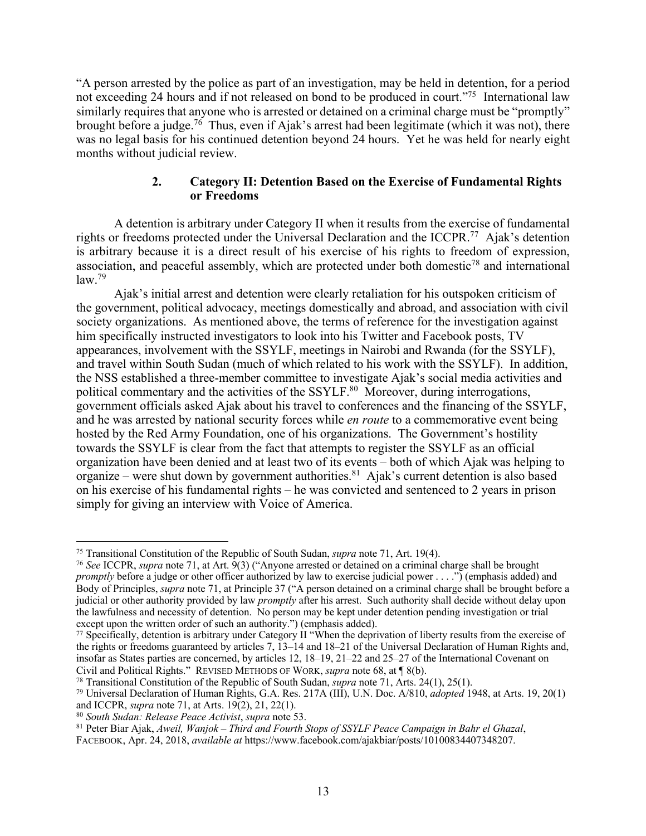"A person arrested by the police as part of an investigation, may be held in detention, for a period not exceeding 24 hours and if not released on bond to be produced in court."<sup>75</sup> International law similarly requires that anyone who is arrested or detained on a criminal charge must be "promptly" brought before a judge.<sup>76</sup> Thus, even if Ajak's arrest had been legitimate (which it was not), there was no legal basis for his continued detention beyond 24 hours. Yet he was held for nearly eight months without judicial review.

## **2. Category II: Detention Based on the Exercise of Fundamental Rights or Freedoms**

A detention is arbitrary under Category II when it results from the exercise of fundamental rights or freedoms protected under the Universal Declaration and the ICCPR.<sup>77</sup> Ajak's detention is arbitrary because it is a direct result of his exercise of his rights to freedom of expression, association, and peaceful assembly, which are protected under both domestic<sup>78</sup> and international  $law<sup>79</sup>$ 

Ajak's initial arrest and detention were clearly retaliation for his outspoken criticism of the government, political advocacy, meetings domestically and abroad, and association with civil society organizations. As mentioned above, the terms of reference for the investigation against him specifically instructed investigators to look into his Twitter and Facebook posts, TV appearances, involvement with the SSYLF, meetings in Nairobi and Rwanda (for the SSYLF), and travel within South Sudan (much of which related to his work with the SSYLF). In addition, the NSS established a three-member committee to investigate Ajak's social media activities and political commentary and the activities of the SSYLF.<sup>80</sup> Moreover, during interrogations, government officials asked Ajak about his travel to conferences and the financing of the SSYLF, and he was arrested by national security forces while *en route* to a commemorative event being hosted by the Red Army Foundation, one of his organizations. The Government's hostility towards the SSYLF is clear from the fact that attempts to register the SSYLF as an official organization have been denied and at least two of its events – both of which Ajak was helping to organize – were shut down by government authorities.<sup>81</sup> Ajak's current detention is also based on his exercise of his fundamental rights – he was convicted and sentenced to 2 years in prison simply for giving an interview with Voice of America.

 <sup>75</sup> Transitional Constitution of the Republic of South Sudan, *supra* note 71, Art. 19(4).

<sup>76</sup> *See* ICCPR, *supra* note 71, at Art. 9(3) ("Anyone arrested or detained on a criminal charge shall be brought *promptly* before a judge or other officer authorized by law to exercise judicial power . . . .") (emphasis added) and Body of Principles, *supra* note 71, at Principle 37 ("A person detained on a criminal charge shall be brought before a judicial or other authority provided by law *promptly* after his arrest. Such authority shall decide without delay upon the lawfulness and necessity of detention. No person may be kept under detention pending investigation or trial except upon the written order of such an authority.") (emphasis added).

 $77$  Specifically, detention is arbitrary under Category II "When the deprivation of liberty results from the exercise of the rights or freedoms guaranteed by articles 7, 13–14 and 18–21 of the Universal Declaration of Human Rights and, insofar as States parties are concerned, by articles 12, 18–19, 21–22 and 25–27 of the International Covenant on Civil and Political Rights." REVISED METHODS OF WORK, *supra* note 68, at ¶ 8(b).

<sup>78</sup> Transitional Constitution of the Republic of South Sudan, *supra* note 71, Arts. 24(1), 25(1). 79 Universal Declaration of Human Rights, G.A. Res. 217A (III), U.N. Doc. A/810, *adopted* 1948, at Arts. 19, 20(1) and ICCPR, *supra* note 71, at Arts. 19(2), 21, 22(1). 80 *South Sudan: Release Peace Activist*, *supra* note 53.

<sup>81</sup> Peter Biar Ajak, *Aweil, Wanjok – Third and Fourth Stops of SSYLF Peace Campaign in Bahr el Ghazal*,

FACEBOOK, Apr. 24, 2018, *available at* https://www.facebook.com/ajakbiar/posts/10100834407348207.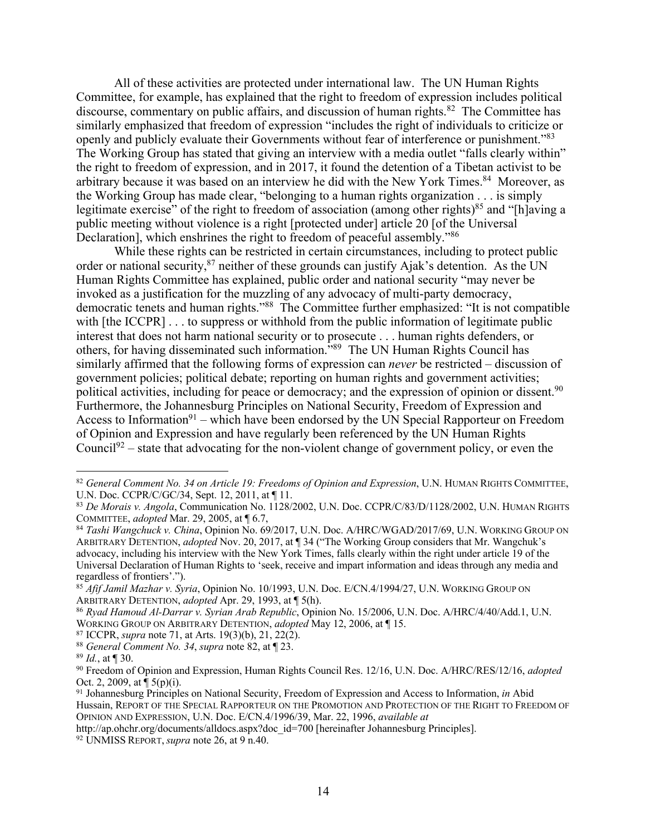All of these activities are protected under international law. The UN Human Rights Committee, for example, has explained that the right to freedom of expression includes political discourse, commentary on public affairs, and discussion of human rights.<sup>82</sup> The Committee has similarly emphasized that freedom of expression "includes the right of individuals to criticize or openly and publicly evaluate their Governments without fear of interference or punishment."<sup>83</sup> The Working Group has stated that giving an interview with a media outlet "falls clearly within" the right to freedom of expression, and in 2017, it found the detention of a Tibetan activist to be arbitrary because it was based on an interview he did with the New York Times.<sup>84</sup> Moreover, as the Working Group has made clear, "belonging to a human rights organization . . . is simply legitimate exercise" of the right to freedom of association (among other rights)<sup>85</sup> and "[h]aving a public meeting without violence is a right [protected under] article 20 [of the Universal Declaration], which enshrines the right to freedom of peaceful assembly.<sup>786</sup>

While these rights can be restricted in certain circumstances, including to protect public order or national security,<sup>87</sup> neither of these grounds can justify Ajak's detention. As the UN Human Rights Committee has explained, public order and national security "may never be invoked as a justification for the muzzling of any advocacy of multi-party democracy, democratic tenets and human rights."88 The Committee further emphasized: "It is not compatible with [the ICCPR] . . . to suppress or withhold from the public information of legitimate public interest that does not harm national security or to prosecute . . . human rights defenders, or others, for having disseminated such information."89 The UN Human Rights Council has similarly affirmed that the following forms of expression can *never* be restricted – discussion of government policies; political debate; reporting on human rights and government activities; political activities, including for peace or democracy; and the expression of opinion or dissent.<sup>90</sup> Furthermore, the Johannesburg Principles on National Security, Freedom of Expression and Access to Information<sup>91</sup> – which have been endorsed by the UN Special Rapporteur on Freedom of Opinion and Expression and have regularly been referenced by the UN Human Rights Council<sup>92</sup> – state that advocating for the non-violent change of government policy, or even the

 <sup>82</sup> *General Comment No. 34 on Article 19: Freedoms of Opinion and Expression*, U.N. HUMAN RIGHTS COMMITTEE, U.N. Doc. CCPR/C/GC/34, Sept. 12, 2011, at ¶ 11.

<sup>&</sup>lt;sup>83</sup> *De Morais v. Angola*, Communication No. 1128/2002, U.N. Doc. CCPR/C/83/D/1128/2002, U.N. HUMAN RIGHTS COMMITTEE, *adopted* Mar. 29, 2005, at  $\P$  6.7,

<sup>&</sup>lt;sup>84</sup> Tashi Wangchuck v. China, Opinion No. 69/2017, U.N. Doc. A/HRC/WGAD/2017/69, U.N. WORKING GROUP ON ARBITRARY DETENTION, *adopted* Nov. 20, 2017, at ¶ 34 ("The Working Group considers that Mr. Wangchuk's advocacy, including his interview with the New York Times, falls clearly within the right under article 19 of the Universal Declaration of Human Rights to 'seek, receive and impart information and ideas through any media and regardless of frontiers'.").

<sup>85</sup> *Afif Jamil Mazhar v. Syria*, Opinion No. 10/1993, U.N. Doc. E/CN.4/1994/27, U.N. WORKING GROUP ON ARBITRARY DETENTION, *adopted* Apr. 29, 1993, at ¶ 5(h).

<sup>86</sup> *Ryad Hamoud Al-Darrar v. Syrian Arab Republic*, Opinion No. 15/2006, U.N. Doc. A/HRC/4/40/Add.1, U.N. WORKING GROUP ON ARBITRARY DETENTION, *adopted* May 12, 2006, at ¶ 15.

<sup>87</sup> ICCPR, *supra* note 71, at Arts. 19(3)(b), 21, 22(2). <sup>88</sup> *General Comment No. 34*, *supra* note 82, at ¶ 23.

<sup>89</sup> *Id.*, at ¶ 30.

<sup>90</sup> Freedom of Opinion and Expression, Human Rights Council Res. 12/16, U.N. Doc. A/HRC/RES/12/16, *adopted* Oct. 2, 2009, at ¶ 5(p)(i).

<sup>91</sup> Johannesburg Principles on National Security, Freedom of Expression and Access to Information, *in* Abid Hussain, REPORT OF THE SPECIAL RAPPORTEUR ON THE PROMOTION AND PROTECTION OF THE RIGHT TO FREEDOM OF OPINION AND EXPRESSION, U.N. Doc. E/CN.4/1996/39, Mar. 22, 1996, *available at*

http://ap.ohchr.org/documents/alldocs.aspx?doc\_id=700 [hereinafter Johannesburg Principles].

<sup>92</sup> UNMISS REPORT, *supra* note 26, at 9 n.40.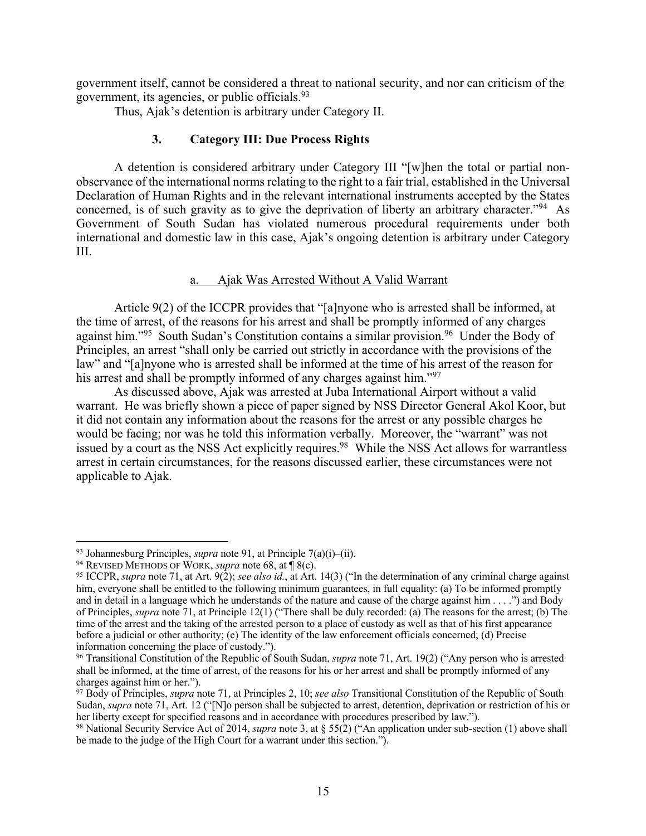government itself, cannot be considered a threat to national security, and nor can criticism of the government, its agencies, or public officials. 93

Thus, Ajak's detention is arbitrary under Category II.

# **3. Category III: Due Process Rights**

A detention is considered arbitrary under Category III "[w]hen the total or partial nonobservance of the international norms relating to the right to a fair trial, established in the Universal Declaration of Human Rights and in the relevant international instruments accepted by the States concerned, is of such gravity as to give the deprivation of liberty an arbitrary character."94 As Government of South Sudan has violated numerous procedural requirements under both international and domestic law in this case, Ajak's ongoing detention is arbitrary under Category III.

### a. Ajak Was Arrested Without A Valid Warrant

Article 9(2) of the ICCPR provides that "[a]nyone who is arrested shall be informed, at the time of arrest, of the reasons for his arrest and shall be promptly informed of any charges against him."<sup>95</sup> South Sudan's Constitution contains a similar provision.<sup>96</sup> Under the Body of Principles, an arrest "shall only be carried out strictly in accordance with the provisions of the law" and "[a]nyone who is arrested shall be informed at the time of his arrest of the reason for his arrest and shall be promptly informed of any charges against him."<sup>97</sup>

As discussed above, Ajak was arrested at Juba International Airport without a valid warrant. He was briefly shown a piece of paper signed by NSS Director General Akol Koor, but it did not contain any information about the reasons for the arrest or any possible charges he would be facing; nor was he told this information verbally. Moreover, the "warrant" was not issued by a court as the NSS Act explicitly requires.<sup>98</sup> While the NSS Act allows for warrantless arrest in certain circumstances, for the reasons discussed earlier, these circumstances were not applicable to Ajak.

 <sup>93</sup> Johannesburg Principles, *supra* note 91, at Principle 7(a)(i)–(ii).

<sup>94</sup> REVISED METHODS OF WORK, *supra* note 68, at ¶ 8(c).

<sup>95</sup> ICCPR, *supra* note 71, at Art. 9(2); *see also id.*, at Art. 14(3) ("In the determination of any criminal charge against him, everyone shall be entitled to the following minimum guarantees, in full equality: (a) To be informed promptly and in detail in a language which he understands of the nature and cause of the charge against him . . . .") and Body of Principles, *supra* note 71, at Principle 12(1) ("There shall be duly recorded: (a) The reasons for the arrest; (b) The time of the arrest and the taking of the arrested person to a place of custody as well as that of his first appearance before a judicial or other authority; (c) The identity of the law enforcement officials concerned; (d) Precise information concerning the place of custody.").

<sup>96</sup> Transitional Constitution of the Republic of South Sudan, *supra* note 71, Art. 19(2) ("Any person who is arrested shall be informed, at the time of arrest, of the reasons for his or her arrest and shall be promptly informed of any charges against him or her.").

<sup>97</sup> Body of Principles, *supra* note 71, at Principles 2, 10; *see also* Transitional Constitution of the Republic of South Sudan, *supra* note 71, Art. 12 ("[N]o person shall be subjected to arrest, detention, deprivation or restriction of his or her liberty except for specified reasons and in accordance with procedures prescribed by law.").

<sup>98</sup> National Security Service Act of 2014, *supra* note 3, at § 55(2) ("An application under sub-section (1) above shall be made to the judge of the High Court for a warrant under this section.").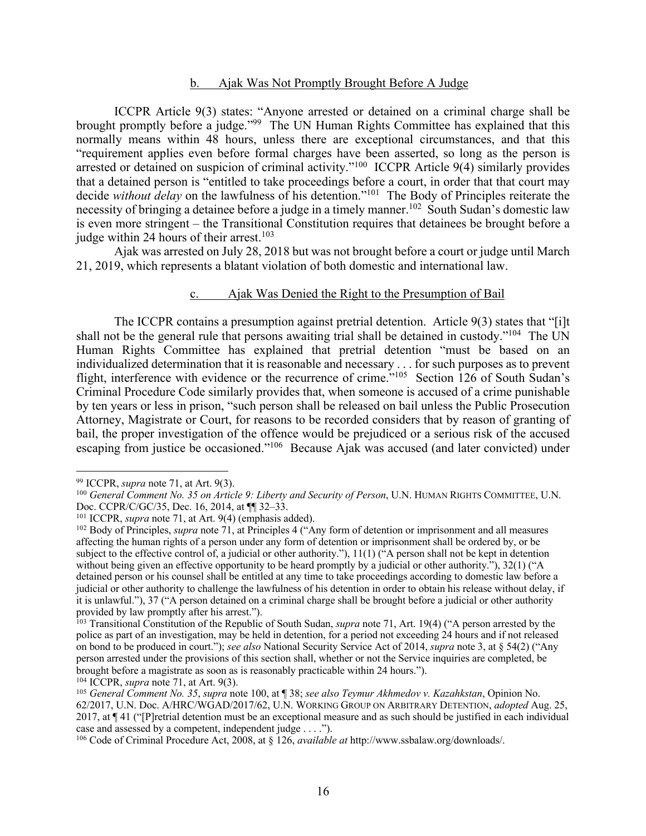#### b. Ajak Was Not Promptly Brought Before A Judge

ICCPR Article 9(3) states: "Anyone arrested or detained on a criminal charge shall be brought promptly before a judge."99 The UN Human Rights Committee has explained that this normally means within 48 hours, unless there are exceptional circumstances, and that this "requirement applies even before formal charges have been asserted, so long as the person is arrested or detained on suspicion of criminal activity."<sup>100</sup> ICCPR Article 9(4) similarly provides that a detained person is "entitled to take proceedings before a court, in order that that court may decide *without delay* on the lawfulness of his detention."<sup>101</sup> The Body of Principles reiterate the necessity of bringing a detainee before a judge in a timely manner.<sup>102</sup> South Sudan's domestic law is even more stringent – the Transitional Constitution requires that detainees be brought before a judge within 24 hours of their arrest.<sup>103</sup>

Ajak was arrested on July 28, 2018 but was not brought before a court or judge until March 21, 2019, which represents a blatant violation of both domestic and international law.

#### c. Ajak Was Denied the Right to the Presumption of Bail

The ICCPR contains a presumption against pretrial detention. Article 9(3) states that "[i]t shall not be the general rule that persons awaiting trial shall be detained in custody."<sup>104</sup> The UN Human Rights Committee has explained that pretrial detention "must be based on an individualized determination that it is reasonable and necessary . . . for such purposes as to prevent flight, interference with evidence or the recurrence of crime."<sup>105</sup> Section 126 of South Sudan's Criminal Procedure Code similarly provides that, when someone is accused of a crime punishable by ten years or less in prison, "such person shall be released on bail unless the Public Prosecution Attorney, Magistrate or Court, for reasons to be recorded considers that by reason of granting of bail, the proper investigation of the offence would be prejudiced or a serious risk of the accused escaping from justice be occasioned."106 Because Ajak was accused (and later convicted) under

 <sup>99</sup> ICCPR, *supra* note 71, at Art. 9(3).

<sup>100</sup> *General Comment No. 35 on Article 9: Liberty and Security of Person*, U.N. HUMAN RIGHTS COMMITTEE, U.N. Doc. CCPR/C/GC/35, Dec. 16, 2014, at ¶¶ 32–33.

<sup>101</sup> ICCPR, *supra* note 71, at Art. 9(4) (emphasis added).

<sup>102</sup> Body of Principles, *supra* note 71, at Principles 4 ("Any form of detention or imprisonment and all measures affecting the human rights of a person under any form of detention or imprisonment shall be ordered by, or be subject to the effective control of, a judicial or other authority."), 11(1) ("A person shall not be kept in detention without being given an effective opportunity to be heard promptly by a judicial or other authority."), 32(1) ("A detained person or his counsel shall be entitled at any time to take proceedings according to domestic law before a judicial or other authority to challenge the lawfulness of his detention in order to obtain his release without delay, if it is unlawful."), 37 ("A person detained on a criminal charge shall be brought before a judicial or other authority provided by law promptly after his arrest.").

<sup>103</sup> Transitional Constitution of the Republic of South Sudan, *supra* note 71, Art. 19(4) ("A person arrested by the police as part of an investigation, may be held in detention, for a period not exceeding 24 hours and if not released on bond to be produced in court."); *see also* National Security Service Act of 2014, *supra* note 3, at § 54(2) ("Any person arrested under the provisions of this section shall, whether or not the Service inquiries are completed, be brought before a magistrate as soon as is reasonably practicable within 24 hours.").

<sup>104</sup> ICCPR, *supra* note 71, at Art. 9(3).

<sup>105</sup> *General Comment No. 35*, *supra* note 100, at ¶ 38; *see also Teymur Akhmedov v. Kazahkstan*, Opinion No. 62/2017, U.N. Doc. A/HRC/WGAD/2017/62, U.N. WORKING GROUP ON ARBITRARY DETENTION, *adopted* Aug. 25, 2017, at ¶ 41 ("[P]retrial detention must be an exceptional measure and as such should be justified in each individual case and assessed by a competent, independent judge . . . .").

<sup>106</sup> Code of Criminal Procedure Act, 2008, at § 126, *available at* http://www.ssbalaw.org/downloads/.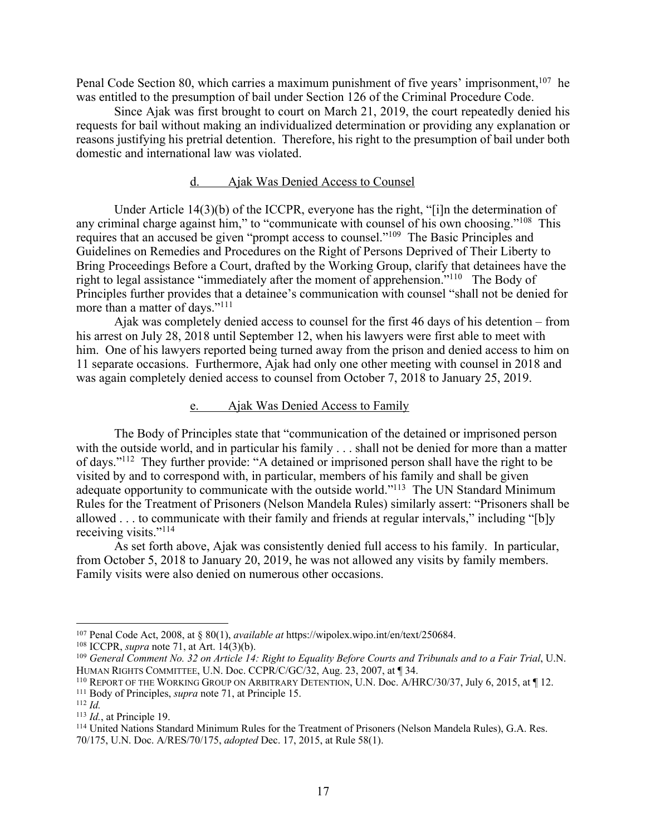Penal Code Section 80, which carries a maximum punishment of five years' imprisonment, <sup>107</sup> he was entitled to the presumption of bail under Section 126 of the Criminal Procedure Code.

Since Ajak was first brought to court on March 21, 2019, the court repeatedly denied his requests for bail without making an individualized determination or providing any explanation or reasons justifying his pretrial detention. Therefore, his right to the presumption of bail under both domestic and international law was violated.

#### d. Ajak Was Denied Access to Counsel

Under Article 14(3)(b) of the ICCPR, everyone has the right, "[i]n the determination of any criminal charge against him," to "communicate with counsel of his own choosing."<sup>108</sup> This requires that an accused be given "prompt access to counsel."109 The Basic Principles and Guidelines on Remedies and Procedures on the Right of Persons Deprived of Their Liberty to Bring Proceedings Before a Court, drafted by the Working Group, clarify that detainees have the right to legal assistance "immediately after the moment of apprehension."110 The Body of Principles further provides that a detainee's communication with counsel "shall not be denied for more than a matter of days."111

Ajak was completely denied access to counsel for the first 46 days of his detention – from his arrest on July 28, 2018 until September 12, when his lawyers were first able to meet with him. One of his lawyers reported being turned away from the prison and denied access to him on 11 separate occasions. Furthermore, Ajak had only one other meeting with counsel in 2018 and was again completely denied access to counsel from October 7, 2018 to January 25, 2019.

#### e. Ajak Was Denied Access to Family

The Body of Principles state that "communication of the detained or imprisoned person with the outside world, and in particular his family . . . shall not be denied for more than a matter of days."112 They further provide: "A detained or imprisoned person shall have the right to be visited by and to correspond with, in particular, members of his family and shall be given adequate opportunity to communicate with the outside world."113 The UN Standard Minimum Rules for the Treatment of Prisoners (Nelson Mandela Rules) similarly assert: "Prisoners shall be allowed . . . to communicate with their family and friends at regular intervals," including "[b]y receiving visits."<sup>114</sup>

As set forth above, Ajak was consistently denied full access to his family. In particular, from October 5, 2018 to January 20, 2019, he was not allowed any visits by family members. Family visits were also denied on numerous other occasions.

 <sup>107</sup> Penal Code Act, 2008, at § 80(1), *available at* https://wipolex.wipo.int/en/text/250684.

<sup>108</sup> ICCPR, *supra* note 71, at Art. 14(3)(b).

<sup>&</sup>lt;sup>109</sup> *General Comment No. 32 on Article 14: Right to Equality Before Courts and Tribunals and to a Fair Trial*, U.N.<br>HUMAN RIGHTS COMMITTEE, U.N. Doc. CCPR/C/GC/32, Aug. 23, 2007, at ¶ 34.

<sup>&</sup>lt;sup>110</sup> REPORT OF THE WORKING GROUP ON ARBITRARY DETENTION, U.N. Doc. A/HRC/30/37, July 6, 2015, at  $\P$  12.

<sup>111</sup> Body of Principles, *supra* note 71, at Principle 15.

<sup>112</sup> *Id.*

<sup>113</sup> *Id.*, at Principle 19.

<sup>114</sup> United Nations Standard Minimum Rules for the Treatment of Prisoners (Nelson Mandela Rules), G.A. Res. 70/175, U.N. Doc. A/RES/70/175, *adopted* Dec. 17, 2015, at Rule 58(1).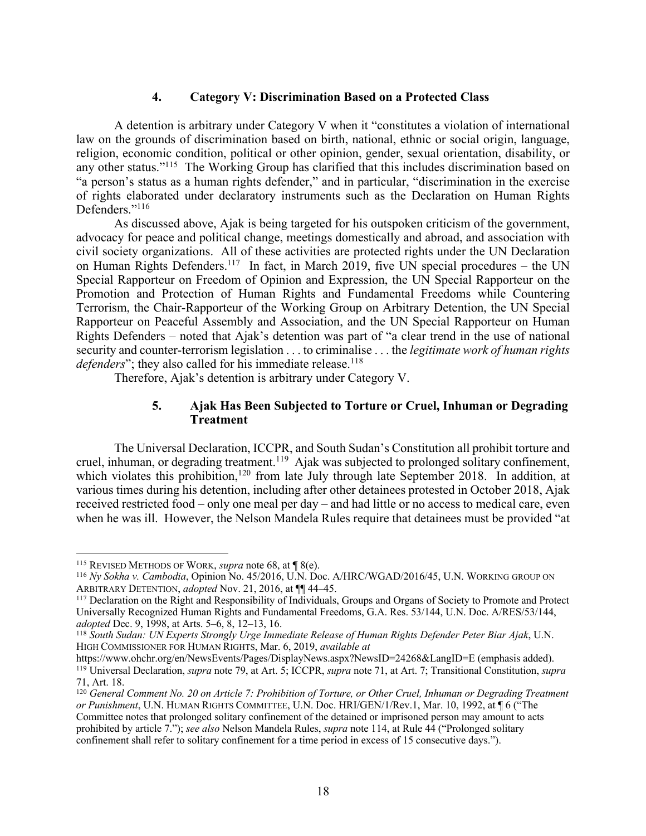### **4. Category V: Discrimination Based on a Protected Class**

A detention is arbitrary under Category V when it "constitutes a violation of international law on the grounds of discrimination based on birth, national, ethnic or social origin, language, religion, economic condition, political or other opinion, gender, sexual orientation, disability, or any other status."115 The Working Group has clarified that this includes discrimination based on "a person's status as a human rights defender," and in particular, "discrimination in the exercise of rights elaborated under declaratory instruments such as the Declaration on Human Rights Defenders."<sup>116</sup>

As discussed above, Ajak is being targeted for his outspoken criticism of the government, advocacy for peace and political change, meetings domestically and abroad, and association with civil society organizations. All of these activities are protected rights under the UN Declaration on Human Rights Defenders.<sup>117</sup> In fact, in March 2019, five UN special procedures – the UN Special Rapporteur on Freedom of Opinion and Expression, the UN Special Rapporteur on the Promotion and Protection of Human Rights and Fundamental Freedoms while Countering Terrorism, the Chair-Rapporteur of the Working Group on Arbitrary Detention, the UN Special Rapporteur on Peaceful Assembly and Association, and the UN Special Rapporteur on Human Rights Defenders – noted that Ajak's detention was part of "a clear trend in the use of national security and counter-terrorism legislation . . . to criminalise . . . the *legitimate work of human rights defenders*"; they also called for his immediate release.<sup>118</sup>

Therefore, Ajak's detention is arbitrary under Category V.

# **5. Ajak Has Been Subjected to Torture or Cruel, Inhuman or Degrading Treatment**

The Universal Declaration, ICCPR, and South Sudan's Constitution all prohibit torture and cruel, inhuman, or degrading treatment.<sup>119</sup> Ajak was subjected to prolonged solitary confinement, which violates this prohibition,<sup>120</sup> from late July through late September 2018. In addition, at various times during his detention, including after other detainees protested in October 2018, Ajak received restricted food – only one meal per day – and had little or no access to medical care, even when he was ill. However, the Nelson Mandela Rules require that detainees must be provided "at

 <sup>115</sup> REVISED METHODS OF WORK, *supra* note 68, at ¶ 8(e).

<sup>116</sup> *Ny Sokha v. Cambodia*, Opinion No. 45/2016, U.N. Doc. A/HRC/WGAD/2016/45, U.N. WORKING GROUP ON ARBITRARY DETENTION, *adopted* Nov. 21, 2016, at ¶¶ 44–45.

<sup>117</sup> Declaration on the Right and Responsibility of Individuals, Groups and Organs of Society to Promote and Protect Universally Recognized Human Rights and Fundamental Freedoms, G.A. Res. 53/144, U.N. Doc. A/RES/53/144, *adopted* Dec. 9, 1998, at Arts. 5–6, 8, 12–13, 16.

<sup>118</sup> *South Sudan: UN Experts Strongly Urge Immediate Release of Human Rights Defender Peter Biar Ajak*, U.N. HIGH COMMISSIONER FOR HUMAN RIGHTS, Mar. 6, 2019, *available at*

https://www.ohchr.org/en/NewsEvents/Pages/DisplayNews.aspx?NewsID=24268&LangID=E (emphasis added). <sup>119</sup> Universal Declaration, *supra* note 79, at Art. 5; ICCPR, *supra* note 71, at Art. 7; Transitional Constitution, *supra* 71, Art. 18.

<sup>&</sup>lt;sup>120</sup> *General Comment No. 20 on Article 7: Prohibition of Torture, or Other Cruel, Inhuman or Degrading Treatment or Punishment*, U.N. HUMAN RIGHTS COMMITTEE, U.N. Doc. HRI/GEN/1/Rev.1, Mar. 10, 1992, at ¶ 6 ("The Committee notes that prolonged solitary confinement of the detained or imprisoned person may amount to acts prohibited by article 7."); *see also* Nelson Mandela Rules, *supra* note 114, at Rule 44 ("Prolonged solitary confinement shall refer to solitary confinement for a time period in excess of 15 consecutive days.").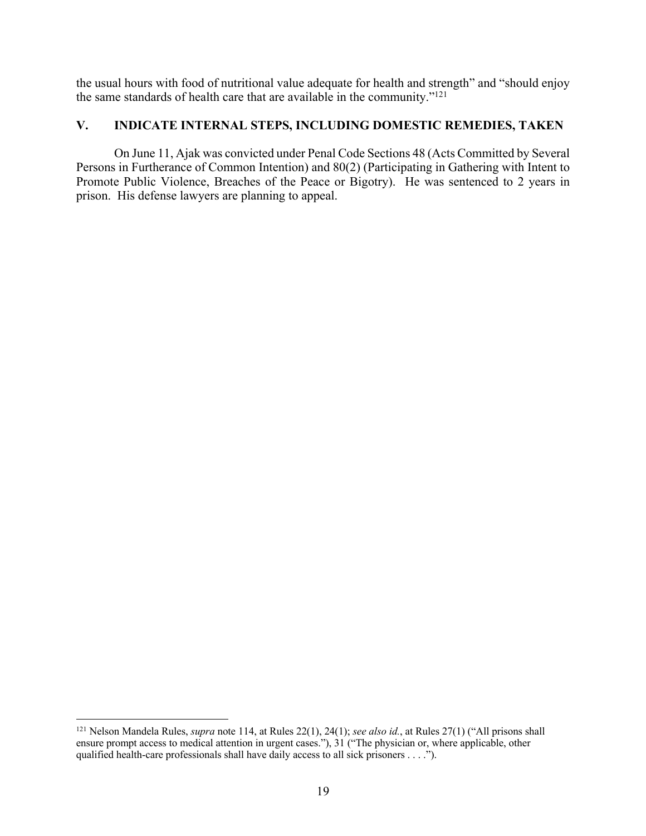the usual hours with food of nutritional value adequate for health and strength" and "should enjoy the same standards of health care that are available in the community."121

# **V. INDICATE INTERNAL STEPS, INCLUDING DOMESTIC REMEDIES, TAKEN**

On June 11, Ajak was convicted under Penal Code Sections 48 (Acts Committed by Several Persons in Furtherance of Common Intention) and 80(2) (Participating in Gathering with Intent to Promote Public Violence, Breaches of the Peace or Bigotry). He was sentenced to 2 years in prison. His defense lawyers are planning to appeal.

 <sup>121</sup> Nelson Mandela Rules, *supra* note 114, at Rules 22(1), 24(1); *see also id.*, at Rules 27(1) ("All prisons shall ensure prompt access to medical attention in urgent cases."), 31 ("The physician or, where applicable, other qualified health-care professionals shall have daily access to all sick prisoners . . . .").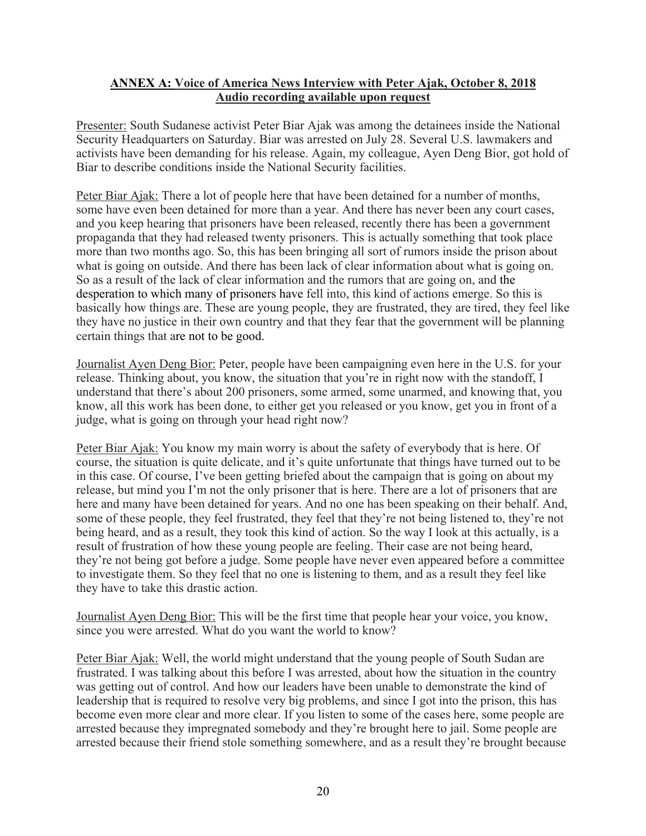# **ANNEX A: Voice of America News Interview with Peter Ajak, October 8, 2018 Audio recording available upon request**

Presenter: South Sudanese activist Peter Biar Ajak was among the detainees inside the National Security Headquarters on Saturday. Biar was arrested on July 28. Several U.S. lawmakers and activists have been demanding for his release. Again, my colleague, Ayen Deng Bior, got hold of Biar to describe conditions inside the National Security facilities.

Peter Biar Ajak: There a lot of people here that have been detained for a number of months, some have even been detained for more than a year. And there has never been any court cases, and you keep hearing that prisoners have been released, recently there has been a government propaganda that they had released twenty prisoners. This is actually something that took place more than two months ago. So, this has been bringing all sort of rumors inside the prison about what is going on outside. And there has been lack of clear information about what is going on. So as a result of the lack of clear information and the rumors that are going on, and the desperation to which many of prisoners have fell into, this kind of actions emerge. So this is basically how things are. These are young people, they are frustrated, they are tired, they feel like they have no justice in their own country and that they fear that the government will be planning certain things that are not to be good.

Journalist Ayen Deng Bior: Peter, people have been campaigning even here in the U.S. for your release. Thinking about, you know, the situation that you're in right now with the standoff, I understand that there's about 200 prisoners, some armed, some unarmed, and knowing that, you know, all this work has been done, to either get you released or you know, get you in front of a judge, what is going on through your head right now?

Peter Biar Ajak: You know my main worry is about the safety of everybody that is here. Of course, the situation is quite delicate, and it's quite unfortunate that things have turned out to be in this case. Of course, I've been getting briefed about the campaign that is going on about my release, but mind you I'm not the only prisoner that is here. There are a lot of prisoners that are here and many have been detained for years. And no one has been speaking on their behalf. And, some of these people, they feel frustrated, they feel that they're not being listened to, they're not being heard, and as a result, they took this kind of action. So the way I look at this actually, is a result of frustration of how these young people are feeling. Their case are not being heard, they're not being got before a judge. Some people have never even appeared before a committee to investigate them. So they feel that no one is listening to them, and as a result they feel like they have to take this drastic action.

Journalist Ayen Deng Bior: This will be the first time that people hear your voice, you know, since you were arrested. What do you want the world to know?

Peter Biar Ajak: Well, the world might understand that the young people of South Sudan are frustrated. I was talking about this before I was arrested, about how the situation in the country was getting out of control. And how our leaders have been unable to demonstrate the kind of leadership that is required to resolve very big problems, and since I got into the prison, this has become even more clear and more clear. If you listen to some of the cases here, some people are arrested because they impregnated somebody and they're brought here to jail. Some people are arrested because their friend stole something somewhere, and as a result they're brought because